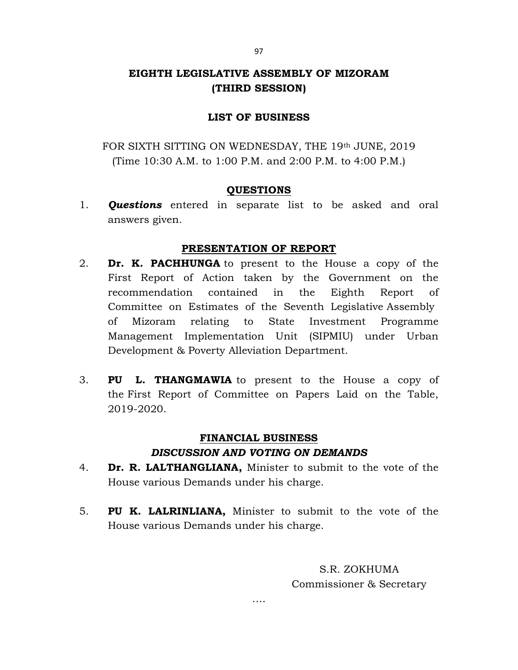# EIGHTH LEGISLATIVE ASSEMBLY OF MIZORAM (THIRD SESSION)

### LIST OF BUSINESS

FOR SIXTH SITTING ON WEDNESDAY, THE 19th JUNE, 2019 (Time 10:30 A.M. to 1:00 P.M. and 2:00 P.M. to 4:00 P.M.)

### QUESTIONS

1. **Ouestions** entered in separate list to be asked and oral answers given.

## PRESENTATION OF REPORT

- 2. **Dr. K. PACHHUNGA** to present to the House a copy of the First Report of Action taken by the Government on the recommendation contained in the Eighth Report of Committee on Estimates of the Seventh Legislative Assembly of Mizoram relating to State Investment Programme Management Implementation Unit (SIPMIU) under Urban Development & Poverty Alleviation Department.
- 3. PU L. THANGMAWIA to present to the House a copy of the First Report of Committee on Papers Laid on the Table, 2019-2020.

# FINANCIAL BUSINESS

### DISCUSSION AND VOTING ON DEMANDS

- 4. Dr. R. LALTHANGLIANA, Minister to submit to the vote of the House various Demands under his charge.
- 5. PU K. LALRINLIANA, Minister to submit to the vote of the House various Demands under his charge.

S.R. ZOKHUMA Commissioner & Secretary

….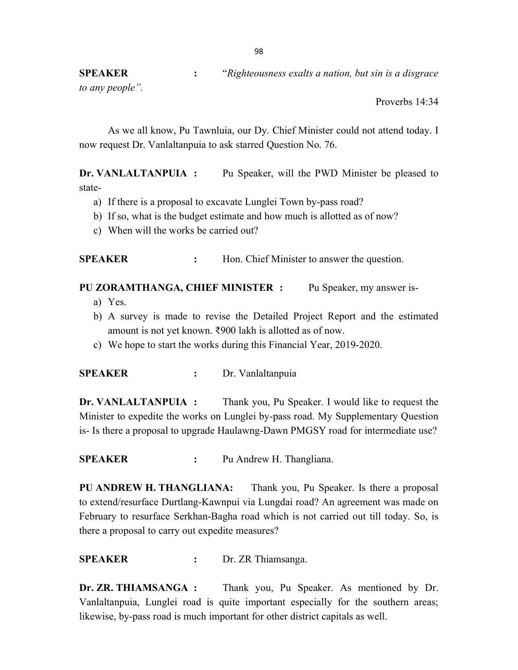SPEAKER : "Righteousness exalts a nation, but sin is a disgrace"

to any people".

Proverbs 14:34

As we all know, Pu Tawnluia, our Dy. Chief Minister could not attend today. I now request Dr. Vanlaltanpuia to ask starred Question No. 76.

Dr. VANLALTANPUIA : Pu Speaker, will the PWD Minister be pleased to state-

- a) If there is a proposal to excavate Lunglei Town by-pass road?
- b) If so, what is the budget estimate and how much is allotted as of now?
- c) When will the works be carried out?

**SPEAKER** : Hon. Chief Minister to answer the question.

PU ZORAMTHANGA, CHIEF MINISTER : Pu Speaker, my answer is-

- a) Yes.
- b) A survey is made to revise the Detailed Project Report and the estimated amount is not yet known. ₹900 lakh is allotted as of now.
- c) We hope to start the works during this Financial Year, 2019-2020.

SPEAKER : Dr. Vanlaltanpuia

Dr. VANLALTANPUIA : Thank you, Pu Speaker. I would like to request the Minister to expedite the works on Lunglei by-pass road. My Supplementary Question is- Is there a proposal to upgrade Haulawng-Dawn PMGSY road for intermediate use?

SPEAKER : Pu Andrew H. Thangliana.

PU ANDREW H. THANGLIANA: Thank you, Pu Speaker. Is there a proposal to extend/resurface Durtlang-Kawnpui via Lungdai road? An agreement was made on February to resurface Serkhan-Bagha road which is not carried out till today. So, is there a proposal to carry out expedite measures?

SPEAKER : Dr. ZR Thiamsanga.

Dr. ZR. THIAMSANGA : Thank you, Pu Speaker. As mentioned by Dr. Vanlaltanpuia, Lunglei road is quite important especially for the southern areas; likewise, by-pass road is much important for other district capitals as well.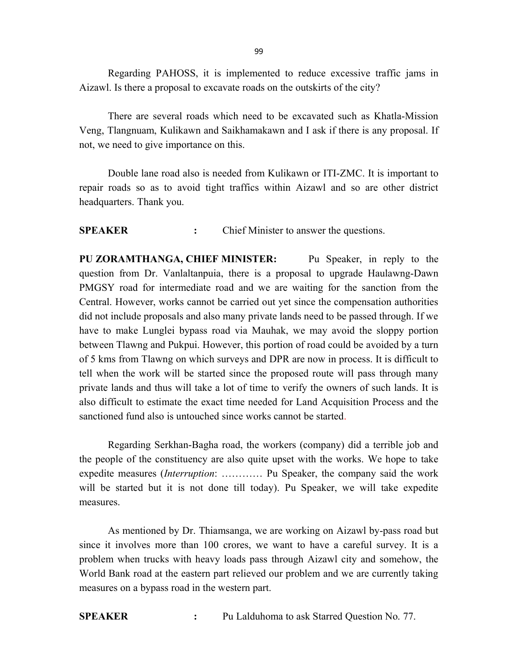Regarding PAHOSS, it is implemented to reduce excessive traffic jams in Aizawl. Is there a proposal to excavate roads on the outskirts of the city?

There are several roads which need to be excavated such as Khatla-Mission Veng, Tlangnuam, Kulikawn and Saikhamakawn and I ask if there is any proposal. If not, we need to give importance on this.

Double lane road also is needed from Kulikawn or ITI-ZMC. It is important to repair roads so as to avoid tight traffics within Aizawl and so are other district headquarters. Thank you.

SPEAKER : Chief Minister to answer the questions.

PU ZORAMTHANGA, CHIEF MINISTER: Pu Speaker, in reply to the question from Dr. Vanlaltanpuia, there is a proposal to upgrade Haulawng-Dawn PMGSY road for intermediate road and we are waiting for the sanction from the Central. However, works cannot be carried out yet since the compensation authorities did not include proposals and also many private lands need to be passed through. If we have to make Lunglei bypass road via Mauhak, we may avoid the sloppy portion between Tlawng and Pukpui. However, this portion of road could be avoided by a turn of 5 kms from Tlawng on which surveys and DPR are now in process. It is difficult to tell when the work will be started since the proposed route will pass through many private lands and thus will take a lot of time to verify the owners of such lands. It is also difficult to estimate the exact time needed for Land Acquisition Process and the sanctioned fund also is untouched since works cannot be started.

Regarding Serkhan-Bagha road, the workers (company) did a terrible job and the people of the constituency are also quite upset with the works. We hope to take expedite measures *(Interruption: ...........* Pu Speaker, the company said the work will be started but it is not done till today). Pu Speaker, we will take expedite measures.

 As mentioned by Dr. Thiamsanga, we are working on Aizawl by-pass road but since it involves more than 100 crores, we want to have a careful survey. It is a problem when trucks with heavy loads pass through Aizawl city and somehow, the World Bank road at the eastern part relieved our problem and we are currently taking measures on a bypass road in the western part.

SPEAKER : Pu Lalduhoma to ask Starred Question No. 77.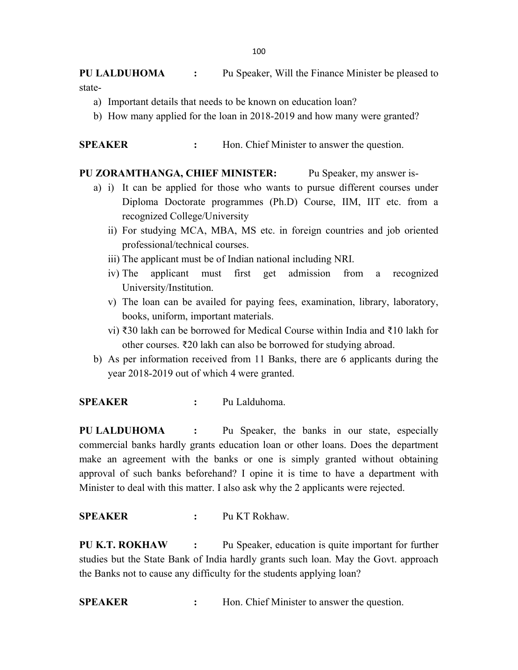PU LALDUHOMA : Pu Speaker, Will the Finance Minister be pleased to state-

- a) Important details that needs to be known on education loan?
- b) How many applied for the loan in 2018-2019 and how many were granted?

SPEAKER : Hon. Chief Minister to answer the question.

#### PU ZORAMTHANGA, CHIEF MINISTER: Pu Speaker, my answer is-

- a) i) It can be applied for those who wants to pursue different courses under Diploma Doctorate programmes (Ph.D) Course, IIM, IIT etc. from a recognized College/University
	- ii) For studying MCA, MBA, MS etc. in foreign countries and job oriented professional/technical courses.
	- iii) The applicant must be of Indian national including NRI.
	- iv) The applicant must first get admission from a recognized University/Institution.
	- v) The loan can be availed for paying fees, examination, library, laboratory, books, uniform, important materials.
	- vi) ₹30 lakh can be borrowed for Medical Course within India and ₹10 lakh for other courses. ₹20 lakh can also be borrowed for studying abroad.
- b) As per information received from 11 Banks, there are 6 applicants during the year 2018-2019 out of which 4 were granted.

### SPEAKER : Pu Lalduhoma.

PU LALDUHOMA : Pu Speaker, the banks in our state, especially commercial banks hardly grants education loan or other loans. Does the department make an agreement with the banks or one is simply granted without obtaining approval of such banks beforehand? I opine it is time to have a department with Minister to deal with this matter. I also ask why the 2 applicants were rejected.

#### SPEAKER : Pu KT Rokhaw.

PU K.T. ROKHAW : Pu Speaker, education is quite important for further studies but the State Bank of India hardly grants such loan. May the Govt. approach the Banks not to cause any difficulty for the students applying loan?

SPEAKER : Hon. Chief Minister to answer the question.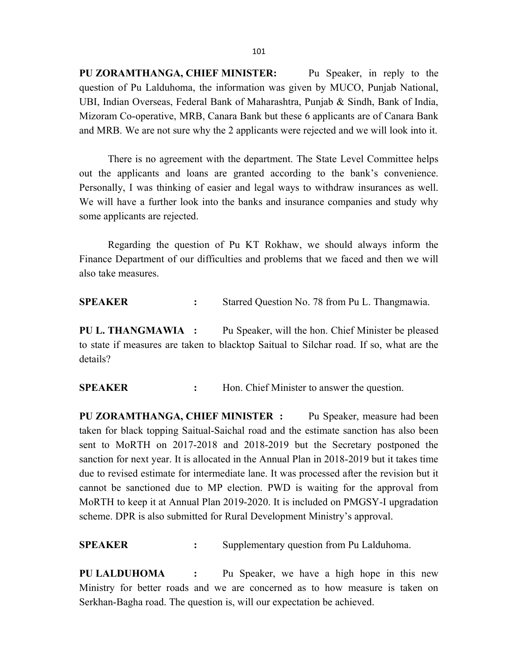PU ZORAMTHANGA, CHIEF MINISTER: Pu Speaker, in reply to the question of Pu Lalduhoma, the information was given by MUCO, Punjab National, UBI, Indian Overseas, Federal Bank of Maharashtra, Punjab & Sindh, Bank of India, Mizoram Co-operative, MRB, Canara Bank but these 6 applicants are of Canara Bank and MRB. We are not sure why the 2 applicants were rejected and we will look into it.

There is no agreement with the department. The State Level Committee helps out the applicants and loans are granted according to the bank's convenience. Personally, I was thinking of easier and legal ways to withdraw insurances as well. We will have a further look into the banks and insurance companies and study why some applicants are rejected.

Regarding the question of Pu KT Rokhaw, we should always inform the Finance Department of our difficulties and problems that we faced and then we will also take measures.

SPEAKER : Starred Question No. 78 from Pu L. Thangmawia.

PU L. THANGMAWIA : Pu Speaker, will the hon. Chief Minister be pleased to state if measures are taken to blacktop Saitual to Silchar road. If so, what are the details?

SPEAKER : Hon. Chief Minister to answer the question.

PU ZORAMTHANGA, CHIEF MINISTER : Pu Speaker, measure had been taken for black topping Saitual-Saichal road and the estimate sanction has also been sent to MoRTH on 2017-2018 and 2018-2019 but the Secretary postponed the sanction for next year. It is allocated in the Annual Plan in 2018-2019 but it takes time due to revised estimate for intermediate lane. It was processed after the revision but it cannot be sanctioned due to MP election. PWD is waiting for the approval from MoRTH to keep it at Annual Plan 2019-2020. It is included on PMGSY-I upgradation scheme. DPR is also submitted for Rural Development Ministry's approval.

SPEAKER : Supplementary question from Pu Lalduhoma.

PU LALDUHOMA : Pu Speaker, we have a high hope in this new Ministry for better roads and we are concerned as to how measure is taken on Serkhan-Bagha road. The question is, will our expectation be achieved.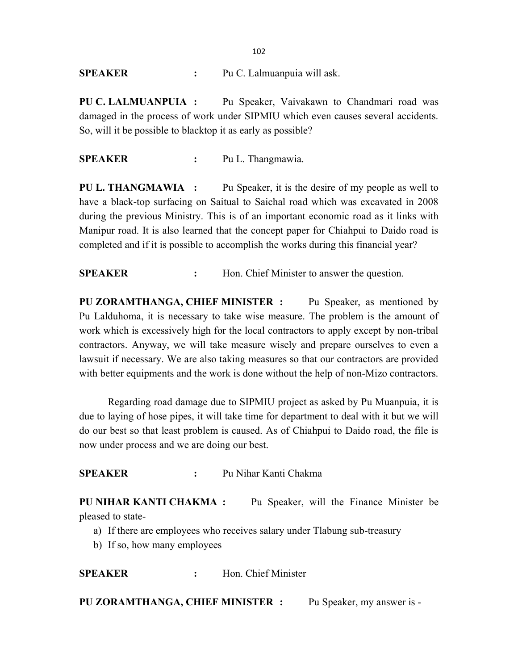### SPEAKER : Pu C. Lalmuanpuia will ask.

PU C. LALMUANPUIA : Pu Speaker, Vaivakawn to Chandmari road was damaged in the process of work under SIPMIU which even causes several accidents. So, will it be possible to blacktop it as early as possible?

### SPEAKER : Pu L. Thangmawia.

PU L. THANGMAWIA : Pu Speaker, it is the desire of my people as well to have a black-top surfacing on Saitual to Saichal road which was excavated in 2008 during the previous Ministry. This is of an important economic road as it links with Manipur road. It is also learned that the concept paper for Chiahpui to Daido road is completed and if it is possible to accomplish the works during this financial year?

**SPEAKER** : Hon. Chief Minister to answer the question.

PU ZORAMTHANGA, CHIEF MINISTER : Pu Speaker, as mentioned by Pu Lalduhoma, it is necessary to take wise measure. The problem is the amount of work which is excessively high for the local contractors to apply except by non-tribal contractors. Anyway, we will take measure wisely and prepare ourselves to even a lawsuit if necessary. We are also taking measures so that our contractors are provided with better equipments and the work is done without the help of non-Mizo contractors.

 Regarding road damage due to SIPMIU project as asked by Pu Muanpuia, it is due to laying of hose pipes, it will take time for department to deal with it but we will do our best so that least problem is caused. As of Chiahpui to Daido road, the file is now under process and we are doing our best.

SPEAKER : Pu Nihar Kanti Chakma

PU NIHAR KANTI CHAKMA : Pu Speaker, will the Finance Minister be pleased to state-

- a) If there are employees who receives salary under Tlabung sub-treasury
- b) If so, how many employees

SPEAKER : Hon. Chief Minister

PU ZORAMTHANGA, CHIEF MINISTER : Pu Speaker, my answer is -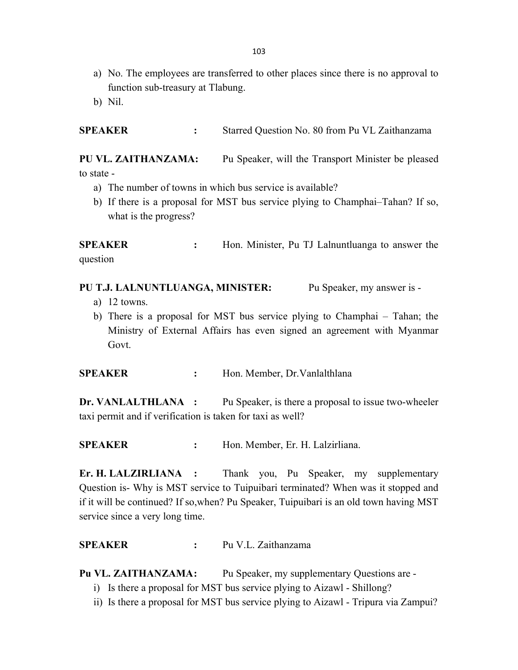- a) No. The employees are transferred to other places since there is no approval to function sub-treasury at Tlabung.
- b) Nil.

SPEAKER : Starred Question No. 80 from Pu VL Zaithanzama

PU VL. ZAITHANZAMA: Pu Speaker, will the Transport Minister be pleased to state -

- a) The number of towns in which bus service is available?
- b) If there is a proposal for MST bus service plying to Champhai–Tahan? If so, what is the progress?

SPEAKER : Hon. Minister, Pu TJ Lalnuntluanga to answer the question

### PU T.J. LALNUNTLUANGA, MINISTER: Pu Speaker, my answer is -

- a) 12 towns.
- b) There is a proposal for MST bus service plying to Champhai Tahan; the Ministry of External Affairs has even signed an agreement with Myanmar Govt.

SPEAKER : Hon. Member, Dr. Vanlalthlana

Dr. VANLALTHLANA : Pu Speaker, is there a proposal to issue two-wheeler taxi permit and if verification is taken for taxi as well?

SPEAKER : Hon. Member, Er. H. Lalzirliana.

Er. H. LALZIRLIANA : Thank you, Pu Speaker, my supplementary Question is- Why is MST service to Tuipuibari terminated? When was it stopped and if it will be continued? If so,when? Pu Speaker, Tuipuibari is an old town having MST service since a very long time.

SPEAKER : Pu V.L. Zaithanzama

Pu VL. ZAITHANZAMA: Pu Speaker, my supplementary Questions are -

- i) Is there a proposal for MST bus service plying to Aizawl Shillong?
- ii) Is there a proposal for MST bus service plying to Aizawl Tripura via Zampui?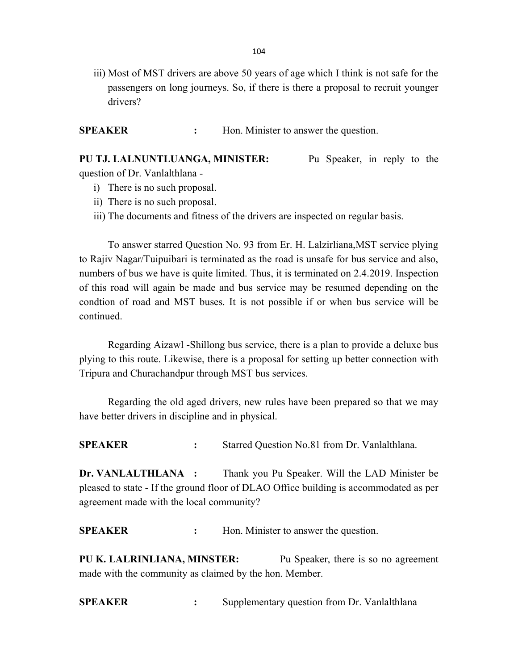iii) Most of MST drivers are above 50 years of age which I think is not safe for the passengers on long journeys. So, if there is there a proposal to recruit younger drivers?

SPEAKER : Hon. Minister to answer the question.

PU TJ. LALNUNTLUANGA, MINISTER: Pu Speaker, in reply to the question of Dr. Vanlalthlana -

- i) There is no such proposal.
- ii) There is no such proposal.
- iii) The documents and fitness of the drivers are inspected on regular basis.

 To answer starred Question No. 93 from Er. H. Lalzirliana,MST service plying to Rajiv Nagar/Tuipuibari is terminated as the road is unsafe for bus service and also, numbers of bus we have is quite limited. Thus, it is terminated on 2.4.2019. Inspection of this road will again be made and bus service may be resumed depending on the condtion of road and MST buses. It is not possible if or when bus service will be continued.

 Regarding Aizawl -Shillong bus service, there is a plan to provide a deluxe bus plying to this route. Likewise, there is a proposal for setting up better connection with Tripura and Churachandpur through MST bus services.

 Regarding the old aged drivers, new rules have been prepared so that we may have better drivers in discipline and in physical.

SPEAKER : Starred Question No.81 from Dr. Vanlalthlana.

Dr. VANLALTHLANA : Thank you Pu Speaker. Will the LAD Minister be pleased to state - If the ground floor of DLAO Office building is accommodated as per agreement made with the local community?

SPEAKER : Hon. Minister to answer the question.

PU K. LALRINLIANA, MINSTER: Pu Speaker, there is so no agreement made with the community as claimed by the hon. Member.

SPEAKER : Supplementary question from Dr. Vanlalthlana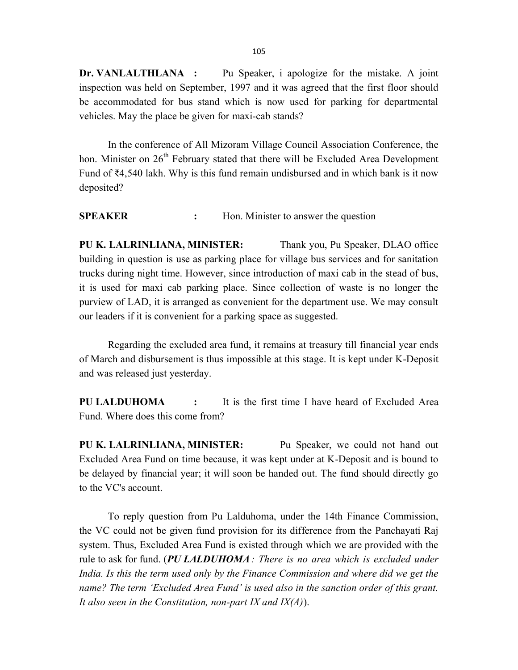Dr. VANLALTHLANA : Pu Speaker, i apologize for the mistake. A joint inspection was held on September, 1997 and it was agreed that the first floor should be accommodated for bus stand which is now used for parking for departmental vehicles. May the place be given for maxi-cab stands?

 In the conference of All Mizoram Village Council Association Conference, the hon. Minister on  $26<sup>th</sup>$  February stated that there will be Excluded Area Development Fund of ₹4,540 lakh. Why is this fund remain undisbursed and in which bank is it now deposited?

SPEAKER : Hon. Minister to answer the question

PU K. LALRINLIANA, MINISTER: Thank you, Pu Speaker, DLAO office building in question is use as parking place for village bus services and for sanitation trucks during night time. However, since introduction of maxi cab in the stead of bus, it is used for maxi cab parking place. Since collection of waste is no longer the purview of LAD, it is arranged as convenient for the department use. We may consult our leaders if it is convenient for a parking space as suggested.

 Regarding the excluded area fund, it remains at treasury till financial year ends of March and disbursement is thus impossible at this stage. It is kept under K-Deposit and was released just yesterday.

PU LALDUHOMA : It is the first time I have heard of Excluded Area Fund. Where does this come from?

PU K. LALRINLIANA, MINISTER: Pu Speaker, we could not hand out Excluded Area Fund on time because, it was kept under at K-Deposit and is bound to be delayed by financial year; it will soon be handed out. The fund should directly go to the VC's account.

 To reply question from Pu Lalduhoma, under the 14th Finance Commission, the VC could not be given fund provision for its difference from the Panchayati Raj system. Thus, Excluded Area Fund is existed through which we are provided with the rule to ask for fund. (PU LALDUHOMA: There is no area which is excluded under India. Is this the term used only by the Finance Commission and where did we get the name? The term 'Excluded Area Fund' is used also in the sanction order of this grant. It also seen in the Constitution, non-part IX and  $IX(A)$ ).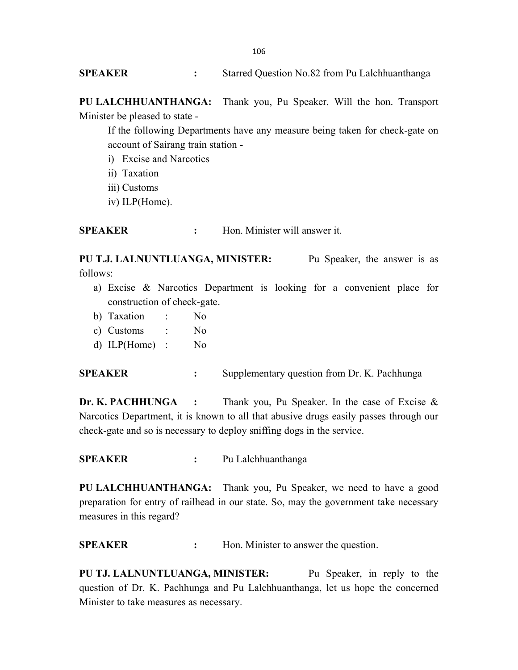SPEAKER : Starred Question No.82 from Pu Lalchhuanthanga

PU LALCHHUANTHANGA: Thank you, Pu Speaker. Will the hon. Transport Minister be pleased to state -

If the following Departments have any measure being taken for check-gate on account of Sairang train station -

- i) Excise and Narcotics
- ii) Taxation
- iii) Customs
- iv) ILP(Home).

SPEAKER : Hon. Minister will answer it.

PU T.J. LALNUNTLUANGA, MINISTER: Pu Speaker, the answer is as follows:

- a) Excise & Narcotics Department is looking for a convenient place for construction of check-gate.
- b) Taxation : No
- c) Customs : No
- d) ILP(Home) : No

SPEAKER : Supplementary question from Dr. K. Pachhunga

**Dr. K. PACHHUNGA** : Thank you, Pu Speaker. In the case of Excise  $\&$ Narcotics Department, it is known to all that abusive drugs easily passes through our check-gate and so is necessary to deploy sniffing dogs in the service.

SPEAKER : Pu Lalchhuanthanga

PU LALCHHUANTHANGA: Thank you, Pu Speaker, we need to have a good preparation for entry of railhead in our state. So, may the government take necessary measures in this regard?

**SPEAKER** : Hon. Minister to answer the question.

PU TJ. LALNUNTLUANGA, MINISTER: Pu Speaker, in reply to the question of Dr. K. Pachhunga and Pu Lalchhuanthanga, let us hope the concerned Minister to take measures as necessary.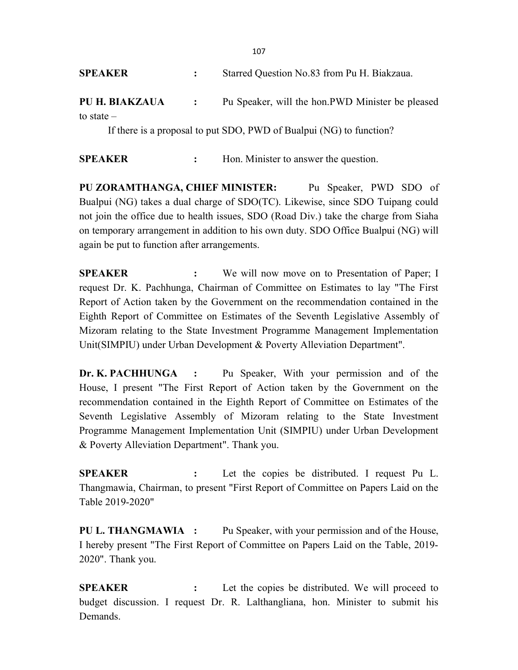| <b>SPEAKER</b>   | Starred Question No.83 from Pu H. Biakzaua.                                                                                                                                                                                                                                                                                                                                    |
|------------------|--------------------------------------------------------------------------------------------------------------------------------------------------------------------------------------------------------------------------------------------------------------------------------------------------------------------------------------------------------------------------------|
| PU H. BIAKZAUA : | Pu Speaker, will the hon. PWD Minister be pleased                                                                                                                                                                                                                                                                                                                              |
| to state $-$     |                                                                                                                                                                                                                                                                                                                                                                                |
|                  | $\overline{1}$ and $\overline{1}$ and $\overline{1}$ $\overline{1}$ $\overline{1}$ $\overline{1}$ $\overline{1}$ $\overline{1}$ $\overline{1}$ $\overline{1}$ $\overline{1}$ $\overline{1}$ $\overline{1}$ $\overline{1}$ $\overline{1}$ $\overline{1}$ $\overline{1}$ $\overline{1}$ $\overline{1}$ $\overline{1}$ $\overline{1}$ $\overline{1}$ $\overline{1}$ $\overline{1$ |

If there is a proposal to put SDO, PWD of Bualpui (NG) to function?

SPEAKER : Hon. Minister to answer the question.

PU ZORAMTHANGA, CHIEF MINISTER: Pu Speaker, PWD SDO of Bualpui (NG) takes a dual charge of SDO(TC). Likewise, since SDO Tuipang could not join the office due to health issues, SDO (Road Div.) take the charge from Siaha on temporary arrangement in addition to his own duty. SDO Office Bualpui (NG) will again be put to function after arrangements.

**SPEAKER** : We will now move on to Presentation of Paper; I request Dr. K. Pachhunga, Chairman of Committee on Estimates to lay "The First Report of Action taken by the Government on the recommendation contained in the Eighth Report of Committee on Estimates of the Seventh Legislative Assembly of Mizoram relating to the State Investment Programme Management Implementation Unit(SIMPIU) under Urban Development & Poverty Alleviation Department".

Dr. K. PACHHUNGA : Pu Speaker, With your permission and of the House, I present "The First Report of Action taken by the Government on the recommendation contained in the Eighth Report of Committee on Estimates of the Seventh Legislative Assembly of Mizoram relating to the State Investment Programme Management Implementation Unit (SIMPIU) under Urban Development & Poverty Alleviation Department". Thank you.

SPEAKER : Let the copies be distributed. I request Pu L. Thangmawia, Chairman, to present "First Report of Committee on Papers Laid on the Table 2019-2020"

PU L. THANGMAWIA : Pu Speaker, with your permission and of the House, I hereby present "The First Report of Committee on Papers Laid on the Table, 2019- 2020". Thank you.

SPEAKER : Let the copies be distributed. We will proceed to budget discussion. I request Dr. R. Lalthangliana, hon. Minister to submit his Demands.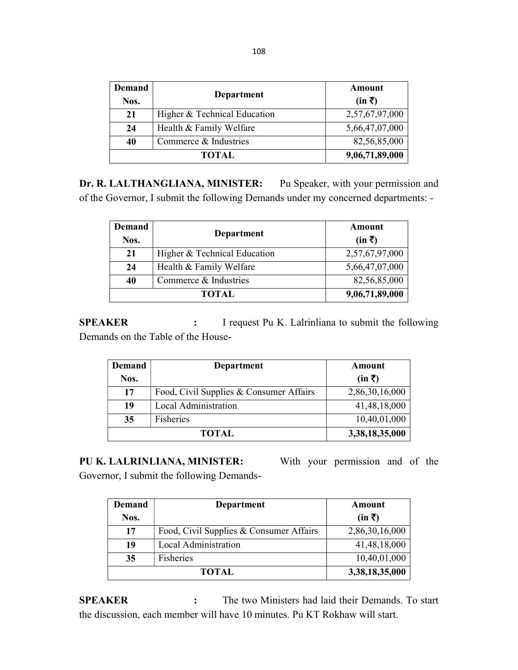| Demand       |                              | Amount         |
|--------------|------------------------------|----------------|
| Nos.         | Department                   | $(in \bar{z})$ |
| 21           | Higher & Technical Education | 2,57,67,97,000 |
| 24           | Health & Family Welfare      | 5,66,47,07,000 |
| 40           | Commerce & Industries        | 82,56,85,000   |
| <b>TOTAL</b> |                              | 9,06,71,89,000 |

Dr. R. LALTHANGLIANA, MINISTER: Pu Speaker, with your permission and of the Governor, I submit the following Demands under my concerned departments: -

| <b>Demand</b><br>Nos. | Department                   | Amount<br>$(in \bar{z})$ |
|-----------------------|------------------------------|--------------------------|
| 21                    | Higher & Technical Education | 2,57,67,97,000           |
| 24                    | Health & Family Welfare      | 5,66,47,07,000           |
| 40                    | Commerce & Industries        | 82,56,85,000             |
|                       | <b>TOTAL</b>                 | 9,06,71,89,000           |

SPEAKER : I request Pu K. Lalrinliana to submit the following Demands on the Table of the House-

| <b>Demand</b> | Department                              | Amount         |
|---------------|-----------------------------------------|----------------|
| Nos.          |                                         | $(in \bar{z})$ |
| 17            | Food, Civil Supplies & Consumer Affairs | 2,86,30,16,000 |
| 19            | Local Administration                    | 41,48,18,000   |
| 35            | Fisheries                               | 10,40,01,000   |
| <b>TOTAL</b>  |                                         | 3,38,18,35,000 |

PU K. LALRINLIANA, MINISTER: With your permission and of the

Governor, I submit the following Demands-

| <b>Demand</b> | Department                              | Amount         |
|---------------|-----------------------------------------|----------------|
| Nos.          |                                         | $(in \bar{z})$ |
| 17            | Food, Civil Supplies & Consumer Affairs | 2,86,30,16,000 |
| 19            | Local Administration                    | 41,48,18,000   |
| 35            | Fisheries                               | 10,40,01,000   |
| <b>TOTAL</b>  |                                         | 3,38,18,35,000 |

SPEAKER : The two Ministers had laid their Demands. To start the discussion, each member will have 10 minutes. Pu KT Rokhaw will start.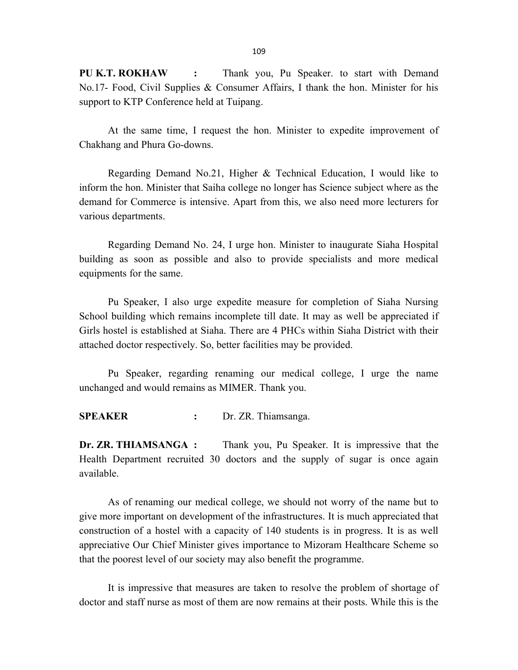109

PU K.T. ROKHAW : Thank you, Pu Speaker. to start with Demand No.17- Food, Civil Supplies & Consumer Affairs, I thank the hon. Minister for his support to KTP Conference held at Tuipang.

At the same time, I request the hon. Minister to expedite improvement of Chakhang and Phura Go-downs.

 Regarding Demand No.21, Higher & Technical Education, I would like to inform the hon. Minister that Saiha college no longer has Science subject where as the demand for Commerce is intensive. Apart from this, we also need more lecturers for various departments.

 Regarding Demand No. 24, I urge hon. Minister to inaugurate Siaha Hospital building as soon as possible and also to provide specialists and more medical equipments for the same.

 Pu Speaker, I also urge expedite measure for completion of Siaha Nursing School building which remains incomplete till date. It may as well be appreciated if Girls hostel is established at Siaha. There are 4 PHCs within Siaha District with their attached doctor respectively. So, better facilities may be provided.

Pu Speaker, regarding renaming our medical college, I urge the name unchanged and would remains as MIMER. Thank you.

SPEAKER : Dr. ZR. Thiamsanga.

Dr. ZR. THIAMSANGA : Thank you, Pu Speaker. It is impressive that the Health Department recruited 30 doctors and the supply of sugar is once again available.

As of renaming our medical college, we should not worry of the name but to give more important on development of the infrastructures. It is much appreciated that construction of a hostel with a capacity of 140 students is in progress. It is as well appreciative Our Chief Minister gives importance to Mizoram Healthcare Scheme so that the poorest level of our society may also benefit the programme.

It is impressive that measures are taken to resolve the problem of shortage of doctor and staff nurse as most of them are now remains at their posts. While this is the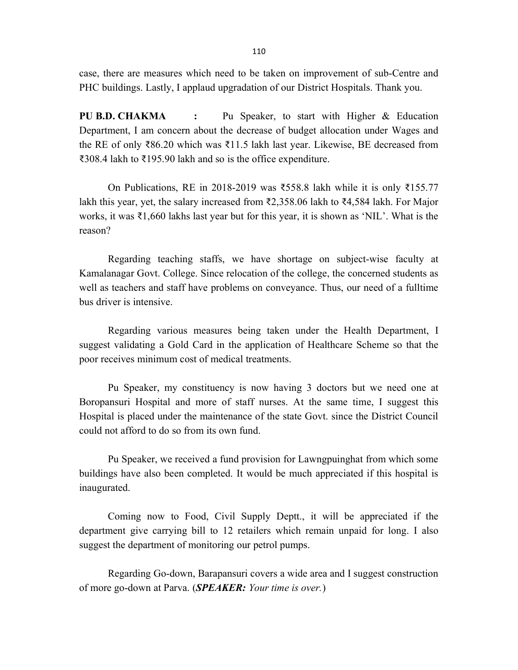case, there are measures which need to be taken on improvement of sub-Centre and PHC buildings. Lastly, I applaud upgradation of our District Hospitals. Thank you.

PU B.D. CHAKMA : Pu Speaker, to start with Higher & Education Department, I am concern about the decrease of budget allocation under Wages and the RE of only ₹86.20 which was ₹11.5 lakh last year. Likewise, BE decreased from ₹308.4 lakh to ₹195.90 lakh and so is the office expenditure.

On Publications, RE in 2018-2019 was ₹558.8 lakh while it is only ₹155.77 lakh this year, yet, the salary increased from ₹2,358.06 lakh to ₹4,584 lakh. For Major works, it was ₹1,660 lakhs last year but for this year, it is shown as 'NIL'. What is the reason?

Regarding teaching staffs, we have shortage on subject-wise faculty at Kamalanagar Govt. College. Since relocation of the college, the concerned students as well as teachers and staff have problems on conveyance. Thus, our need of a fulltime bus driver is intensive.

Regarding various measures being taken under the Health Department, I suggest validating a Gold Card in the application of Healthcare Scheme so that the poor receives minimum cost of medical treatments.

Pu Speaker, my constituency is now having 3 doctors but we need one at Boropansuri Hospital and more of staff nurses. At the same time, I suggest this Hospital is placed under the maintenance of the state Govt. since the District Council could not afford to do so from its own fund.

 Pu Speaker, we received a fund provision for Lawngpuinghat from which some buildings have also been completed. It would be much appreciated if this hospital is inaugurated.

Coming now to Food, Civil Supply Deptt., it will be appreciated if the department give carrying bill to 12 retailers which remain unpaid for long. I also suggest the department of monitoring our petrol pumps.

 Regarding Go-down, Barapansuri covers a wide area and I suggest construction of more go-down at Parva. (**SPEAKER:** Your time is over.)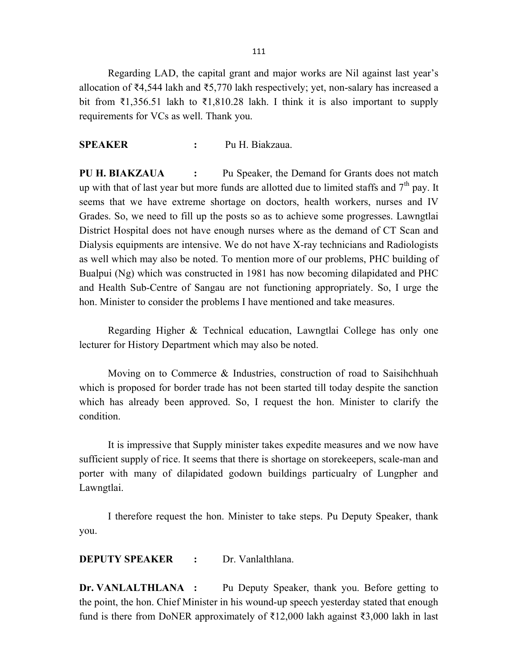111

Regarding LAD, the capital grant and major works are Nil against last year's allocation of ₹4,544 lakh and ₹5,770 lakh respectively; yet, non-salary has increased a bit from ₹1,356.51 lakh to ₹1,810.28 lakh. I think it is also important to supply requirements for VCs as well. Thank you.

#### SPEAKER : Pu H. Biakzaua.

PU H. BIAKZAUA : Pu Speaker, the Demand for Grants does not match up with that of last year but more funds are allotted due to limited staffs and  $7<sup>th</sup>$  pay. It seems that we have extreme shortage on doctors, health workers, nurses and IV Grades. So, we need to fill up the posts so as to achieve some progresses. Lawngtlai District Hospital does not have enough nurses where as the demand of CT Scan and Dialysis equipments are intensive. We do not have X-ray technicians and Radiologists as well which may also be noted. To mention more of our problems, PHC building of Bualpui (Ng) which was constructed in 1981 has now becoming dilapidated and PHC and Health Sub-Centre of Sangau are not functioning appropriately. So, I urge the hon. Minister to consider the problems I have mentioned and take measures.

Regarding Higher & Technical education, Lawngtlai College has only one lecturer for History Department which may also be noted.

Moving on to Commerce & Industries, construction of road to Saisihchhuah which is proposed for border trade has not been started till today despite the sanction which has already been approved. So, I request the hon. Minister to clarify the condition.

 It is impressive that Supply minister takes expedite measures and we now have sufficient supply of rice. It seems that there is shortage on storekeepers, scale-man and porter with many of dilapidated godown buildings particualry of Lungpher and Lawngtlai.

I therefore request the hon. Minister to take steps. Pu Deputy Speaker, thank you.

DEPUTY SPEAKER : Dr. Vanlalthlana.

Dr. VANLALTHLANA : Pu Deputy Speaker, thank you. Before getting to the point, the hon. Chief Minister in his wound-up speech yesterday stated that enough fund is there from DoNER approximately of ₹12,000 lakh against ₹3,000 lakh in last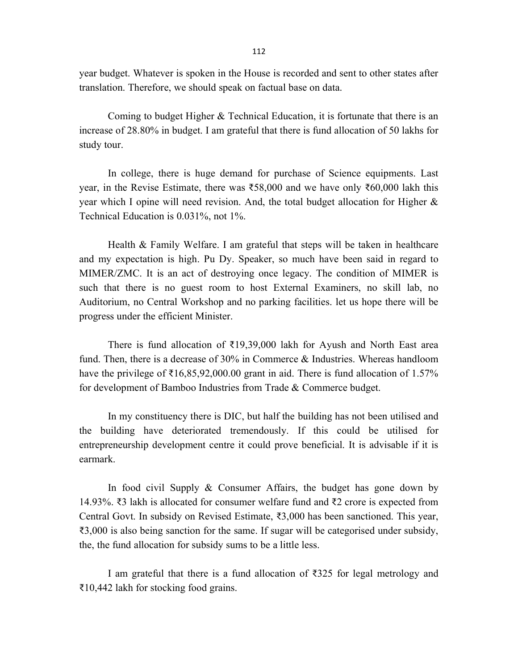year budget. Whatever is spoken in the House is recorded and sent to other states after translation. Therefore, we should speak on factual base on data.

 Coming to budget Higher & Technical Education, it is fortunate that there is an increase of 28.80% in budget. I am grateful that there is fund allocation of 50 lakhs for study tour.

In college, there is huge demand for purchase of Science equipments. Last year, in the Revise Estimate, there was ₹58,000 and we have only ₹60,000 lakh this year which I opine will need revision. And, the total budget allocation for Higher & Technical Education is 0.031%, not 1%.

 Health & Family Welfare. I am grateful that steps will be taken in healthcare and my expectation is high. Pu Dy. Speaker, so much have been said in regard to MIMER/ZMC. It is an act of destroying once legacy. The condition of MIMER is such that there is no guest room to host External Examiners, no skill lab, no Auditorium, no Central Workshop and no parking facilities. let us hope there will be progress under the efficient Minister.

There is fund allocation of  $\overline{219,39,000}$  lakh for Ayush and North East area fund. Then, there is a decrease of 30% in Commerce & Industries. Whereas handloom have the privilege of  $\bar{\xi}$ 16,85,92,000.00 grant in aid. There is fund allocation of 1.57% for development of Bamboo Industries from Trade & Commerce budget.

 In my constituency there is DIC, but half the building has not been utilised and the building have deteriorated tremendously. If this could be utilised for entrepreneurship development centre it could prove beneficial. It is advisable if it is earmark.

 In food civil Supply & Consumer Affairs, the budget has gone down by 14.93%. ₹3 lakh is allocated for consumer welfare fund and ₹2 crore is expected from Central Govt. In subsidy on Revised Estimate, ₹3,000 has been sanctioned. This year, ₹3,000 is also being sanction for the same. If sugar will be categorised under subsidy, the, the fund allocation for subsidy sums to be a little less.

 I am grateful that there is a fund allocation of ₹325 for legal metrology and ₹10,442 lakh for stocking food grains.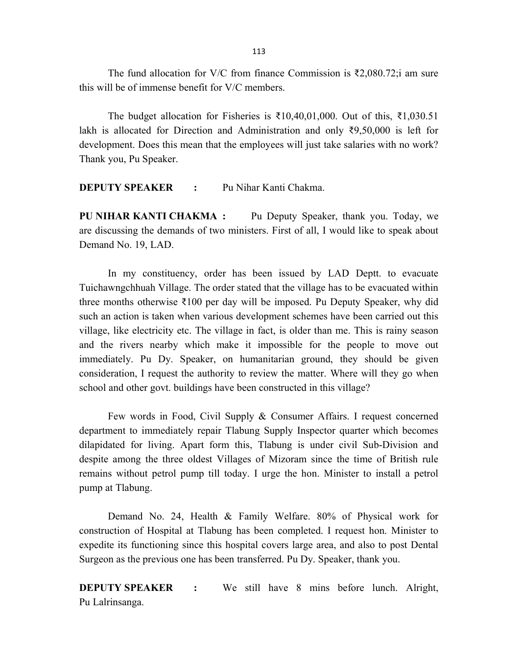The fund allocation for V/C from finance Commission is ₹2,080.72;i am sure this will be of immense benefit for V/C members.

The budget allocation for Fisheries is  $\bar{\tau}10,40,01,000$ . Out of this,  $\bar{\tau}1,030.51$ lakh is allocated for Direction and Administration and only ₹9,50,000 is left for development. Does this mean that the employees will just take salaries with no work? Thank you, Pu Speaker.

DEPUTY SPEAKER : Pu Nihar Kanti Chakma.

PU NIHAR KANTI CHAKMA : Pu Deputy Speaker, thank you. Today, we are discussing the demands of two ministers. First of all, I would like to speak about Demand No. 19, LAD.

In my constituency, order has been issued by LAD Deptt. to evacuate Tuichawngchhuah Village. The order stated that the village has to be evacuated within three months otherwise ₹100 per day will be imposed. Pu Deputy Speaker, why did such an action is taken when various development schemes have been carried out this village, like electricity etc. The village in fact, is older than me. This is rainy season and the rivers nearby which make it impossible for the people to move out immediately. Pu Dy. Speaker, on humanitarian ground, they should be given consideration, I request the authority to review the matter. Where will they go when school and other govt. buildings have been constructed in this village?

Few words in Food, Civil Supply & Consumer Affairs. I request concerned department to immediately repair Tlabung Supply Inspector quarter which becomes dilapidated for living. Apart form this, Tlabung is under civil Sub-Division and despite among the three oldest Villages of Mizoram since the time of British rule remains without petrol pump till today. I urge the hon. Minister to install a petrol pump at Tlabung.

Demand No. 24, Health & Family Welfare. 80% of Physical work for construction of Hospital at Tlabung has been completed. I request hon. Minister to expedite its functioning since this hospital covers large area, and also to post Dental Surgeon as the previous one has been transferred. Pu Dy. Speaker, thank you.

**DEPUTY SPEAKER** : We still have 8 mins before lunch. Alright, Pu Lalrinsanga.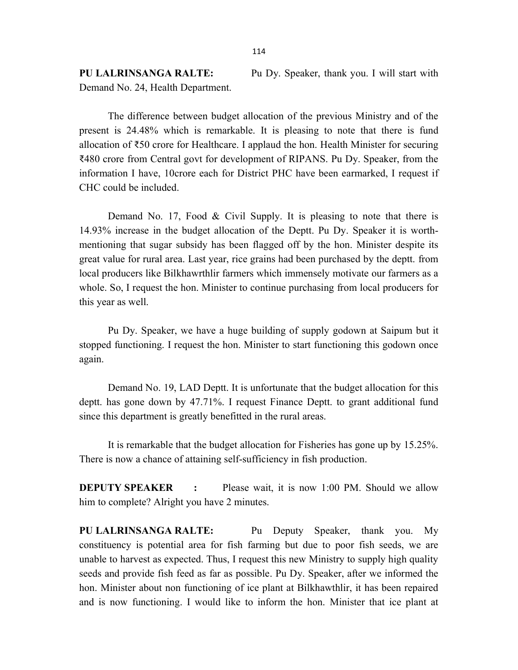PU LALRINSANGA RALTE: Pu Dy. Speaker, thank you. I will start with Demand No. 24, Health Department.

 The difference between budget allocation of the previous Ministry and of the present is 24.48% which is remarkable. It is pleasing to note that there is fund allocation of ₹50 crore for Healthcare. I applaud the hon. Health Minister for securing ₹480 crore from Central govt for development of RIPANS. Pu Dy. Speaker, from the information I have, 10crore each for District PHC have been earmarked, I request if CHC could be included.

Demand No. 17, Food & Civil Supply. It is pleasing to note that there is 14.93% increase in the budget allocation of the Deptt. Pu Dy. Speaker it is worthmentioning that sugar subsidy has been flagged off by the hon. Minister despite its great value for rural area. Last year, rice grains had been purchased by the deptt. from local producers like Bilkhawrthlir farmers which immensely motivate our farmers as a whole. So, I request the hon. Minister to continue purchasing from local producers for this year as well.

Pu Dy. Speaker, we have a huge building of supply godown at Saipum but it stopped functioning. I request the hon. Minister to start functioning this godown once again.

Demand No. 19, LAD Deptt. It is unfortunate that the budget allocation for this deptt. has gone down by 47.71%. I request Finance Deptt. to grant additional fund since this department is greatly benefitted in the rural areas.

 It is remarkable that the budget allocation for Fisheries has gone up by 15.25%. There is now a chance of attaining self-sufficiency in fish production.

**DEPUTY SPEAKER** : Please wait, it is now 1:00 PM. Should we allow him to complete? Alright you have 2 minutes.

PU LALRINSANGA RALTE: Pu Deputy Speaker, thank you. My constituency is potential area for fish farming but due to poor fish seeds, we are unable to harvest as expected. Thus, I request this new Ministry to supply high quality seeds and provide fish feed as far as possible. Pu Dy. Speaker, after we informed the hon. Minister about non functioning of ice plant at Bilkhawthlir, it has been repaired and is now functioning. I would like to inform the hon. Minister that ice plant at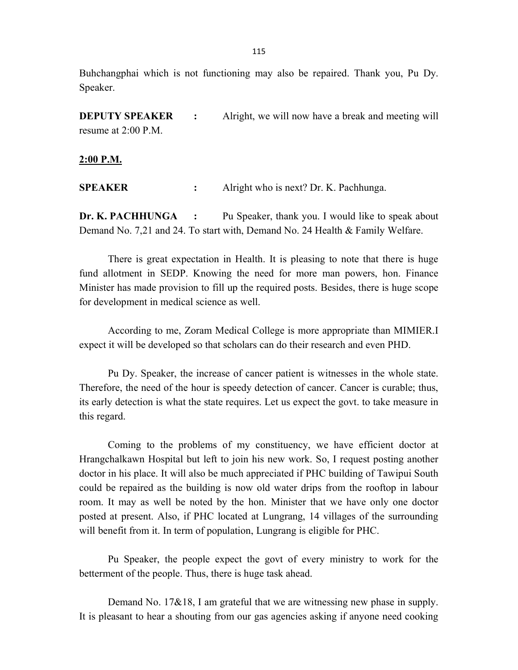Buhchangphai which is not functioning may also be repaired. Thank you, Pu Dy. Speaker.

**DEPUTY SPEAKER** : Alright, we will now have a break and meeting will resume at 2:00 P.M.

2:00 P.M.

SPEAKER : Alright who is next? Dr. K. Pachhunga.

**Dr. K. PACHHUNGA** : Pu Speaker, thank you. I would like to speak about Demand No. 7,21 and 24. To start with, Demand No. 24 Health & Family Welfare.

 There is great expectation in Health. It is pleasing to note that there is huge fund allotment in SEDP. Knowing the need for more man powers, hon. Finance Minister has made provision to fill up the required posts. Besides, there is huge scope for development in medical science as well.

According to me, Zoram Medical College is more appropriate than MIMIER.I expect it will be developed so that scholars can do their research and even PHD.

Pu Dy. Speaker, the increase of cancer patient is witnesses in the whole state. Therefore, the need of the hour is speedy detection of cancer. Cancer is curable; thus, its early detection is what the state requires. Let us expect the govt. to take measure in this regard.

 Coming to the problems of my constituency, we have efficient doctor at Hrangchalkawn Hospital but left to join his new work. So, I request posting another doctor in his place. It will also be much appreciated if PHC building of Tawipui South could be repaired as the building is now old water drips from the rooftop in labour room. It may as well be noted by the hon. Minister that we have only one doctor posted at present. Also, if PHC located at Lungrang, 14 villages of the surrounding will benefit from it. In term of population, Lungrang is eligible for PHC.

 Pu Speaker, the people expect the govt of every ministry to work for the betterment of the people. Thus, there is huge task ahead.

 Demand No. 17&18, I am grateful that we are witnessing new phase in supply. It is pleasant to hear a shouting from our gas agencies asking if anyone need cooking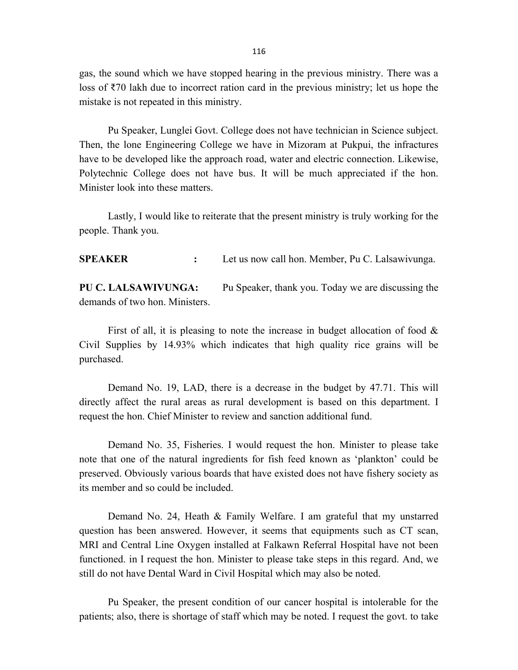gas, the sound which we have stopped hearing in the previous ministry. There was a loss of ₹70 lakh due to incorrect ration card in the previous ministry; let us hope the mistake is not repeated in this ministry.

Pu Speaker, Lunglei Govt. College does not have technician in Science subject. Then, the lone Engineering College we have in Mizoram at Pukpui, the infractures have to be developed like the approach road, water and electric connection. Likewise, Polytechnic College does not have bus. It will be much appreciated if the hon. Minister look into these matters.

 Lastly, I would like to reiterate that the present ministry is truly working for the people. Thank you.

SPEAKER : Let us now call hon. Member, Pu C. Lalsawivunga.

PU C. LALSAWIVUNGA: Pu Speaker, thank you. Today we are discussing the demands of two hon. Ministers.

 First of all, it is pleasing to note the increase in budget allocation of food & Civil Supplies by 14.93% which indicates that high quality rice grains will be purchased.

 Demand No. 19, LAD, there is a decrease in the budget by 47.71. This will directly affect the rural areas as rural development is based on this department. I request the hon. Chief Minister to review and sanction additional fund.

 Demand No. 35, Fisheries. I would request the hon. Minister to please take note that one of the natural ingredients for fish feed known as 'plankton' could be preserved. Obviously various boards that have existed does not have fishery society as its member and so could be included.

 Demand No. 24, Heath & Family Welfare. I am grateful that my unstarred question has been answered. However, it seems that equipments such as CT scan, MRI and Central Line Oxygen installed at Falkawn Referral Hospital have not been functioned. in I request the hon. Minister to please take steps in this regard. And, we still do not have Dental Ward in Civil Hospital which may also be noted.

 Pu Speaker, the present condition of our cancer hospital is intolerable for the patients; also, there is shortage of staff which may be noted. I request the govt. to take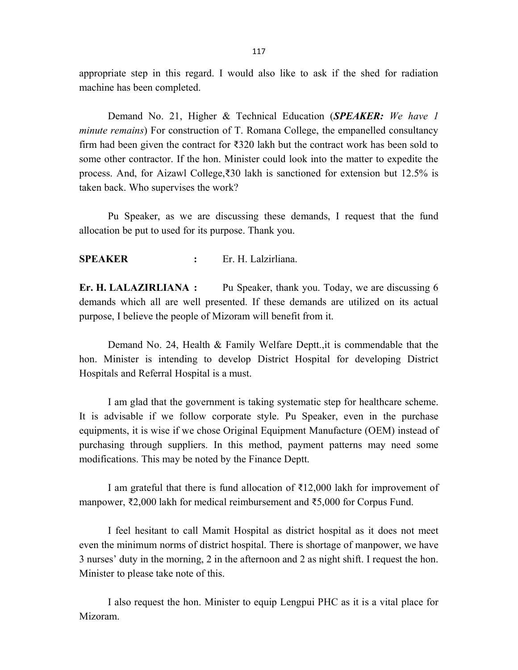appropriate step in this regard. I would also like to ask if the shed for radiation machine has been completed.

Demand No. 21, Higher & Technical Education (SPEAKER: We have 1 minute remains) For construction of T. Romana College, the empanelled consultancy firm had been given the contract for  $\bar{\xi}$ 320 lakh but the contract work has been sold to some other contractor. If the hon. Minister could look into the matter to expedite the process. And, for Aizawl College,₹30 lakh is sanctioned for extension but 12.5% is taken back. Who supervises the work?

 Pu Speaker, as we are discussing these demands, I request that the fund allocation be put to used for its purpose. Thank you.

### SPEAKER : Er. H. Lalzirliana.

Er. H. LALAZIRLIANA : Pu Speaker, thank you. Today, we are discussing 6 demands which all are well presented. If these demands are utilized on its actual purpose, I believe the people of Mizoram will benefit from it.

 Demand No. 24, Health & Family Welfare Deptt.,it is commendable that the hon. Minister is intending to develop District Hospital for developing District Hospitals and Referral Hospital is a must.

I am glad that the government is taking systematic step for healthcare scheme. It is advisable if we follow corporate style. Pu Speaker, even in the purchase equipments, it is wise if we chose Original Equipment Manufacture (OEM) instead of purchasing through suppliers. In this method, payment patterns may need some modifications. This may be noted by the Finance Deptt.

I am grateful that there is fund allocation of ₹12,000 lakh for improvement of manpower, ₹2,000 lakh for medical reimbursement and ₹5,000 for Corpus Fund.

 I feel hesitant to call Mamit Hospital as district hospital as it does not meet even the minimum norms of district hospital. There is shortage of manpower, we have 3 nurses' duty in the morning, 2 in the afternoon and 2 as night shift. I request the hon. Minister to please take note of this.

I also request the hon. Minister to equip Lengpui PHC as it is a vital place for Mizoram.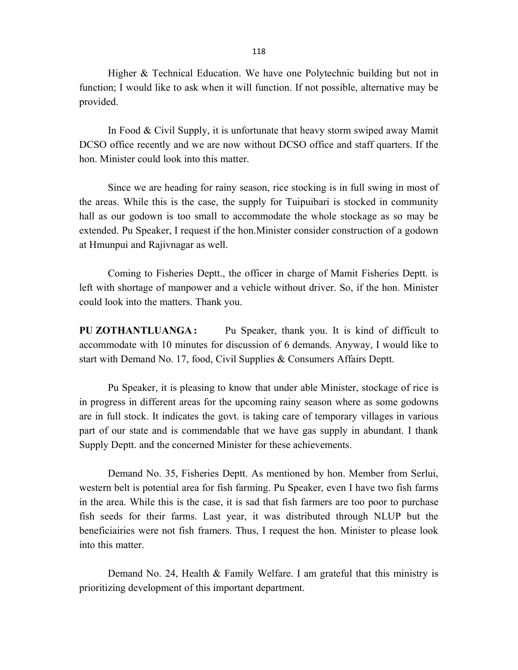118

 Higher & Technical Education. We have one Polytechnic building but not in function; I would like to ask when it will function. If not possible, alternative may be provided.

 In Food & Civil Supply, it is unfortunate that heavy storm swiped away Mamit DCSO office recently and we are now without DCSO office and staff quarters. If the hon. Minister could look into this matter.

Since we are heading for rainy season, rice stocking is in full swing in most of the areas. While this is the case, the supply for Tuipuibari is stocked in community hall as our godown is too small to accommodate the whole stockage as so may be extended. Pu Speaker, I request if the hon.Minister consider construction of a godown at Hmunpui and Rajivnagar as well.

 Coming to Fisheries Deptt., the officer in charge of Mamit Fisheries Deptt. is left with shortage of manpower and a vehicle without driver. So, if the hon. Minister could look into the matters. Thank you.

PU ZOTHANTLUANGA: Pu Speaker, thank you. It is kind of difficult to accommodate with 10 minutes for discussion of 6 demands. Anyway, I would like to start with Demand No. 17, food, Civil Supplies & Consumers Affairs Deptt.

Pu Speaker, it is pleasing to know that under able Minister, stockage of rice is in progress in different areas for the upcoming rainy season where as some godowns are in full stock. It indicates the govt. is taking care of temporary villages in various part of our state and is commendable that we have gas supply in abundant. I thank Supply Deptt. and the concerned Minister for these achievements.

Demand No. 35, Fisheries Deptt. As mentioned by hon. Member from Serlui, western belt is potential area for fish farming. Pu Speaker, even I have two fish farms in the area. While this is the case, it is sad that fish farmers are too poor to purchase fish seeds for their farms. Last year, it was distributed through NLUP but the beneficiairies were not fish framers. Thus, I request the hon. Minister to please look into this matter.

Demand No. 24, Health & Family Welfare. I am grateful that this ministry is prioritizing development of this important department.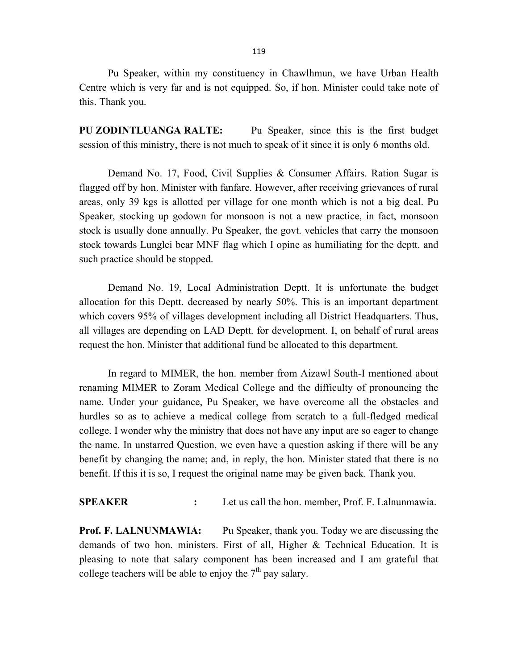Pu Speaker, within my constituency in Chawlhmun, we have Urban Health Centre which is very far and is not equipped. So, if hon. Minister could take note of this. Thank you.

PU ZODINTLUANGA RALTE: Pu Speaker, since this is the first budget session of this ministry, there is not much to speak of it since it is only 6 months old.

Demand No. 17, Food, Civil Supplies & Consumer Affairs. Ration Sugar is flagged off by hon. Minister with fanfare. However, after receiving grievances of rural areas, only 39 kgs is allotted per village for one month which is not a big deal. Pu Speaker, stocking up godown for monsoon is not a new practice, in fact, monsoon stock is usually done annually. Pu Speaker, the govt. vehicles that carry the monsoon stock towards Lunglei bear MNF flag which I opine as humiliating for the deptt. and such practice should be stopped.

Demand No. 19, Local Administration Deptt. It is unfortunate the budget allocation for this Deptt. decreased by nearly 50%. This is an important department which covers 95% of villages development including all District Headquarters. Thus, all villages are depending on LAD Deptt. for development. I, on behalf of rural areas request the hon. Minister that additional fund be allocated to this department.

In regard to MIMER, the hon. member from Aizawl South-I mentioned about renaming MIMER to Zoram Medical College and the difficulty of pronouncing the name. Under your guidance, Pu Speaker, we have overcome all the obstacles and hurdles so as to achieve a medical college from scratch to a full-fledged medical college. I wonder why the ministry that does not have any input are so eager to change the name. In unstarred Question, we even have a question asking if there will be any benefit by changing the name; and, in reply, the hon. Minister stated that there is no benefit. If this it is so, I request the original name may be given back. Thank you.

SPEAKER : Let us call the hon. member, Prof. F. Lalnunmawia.

Prof. F. LALNUNMAWIA: Pu Speaker, thank you. Today we are discussing the demands of two hon. ministers. First of all, Higher & Technical Education. It is pleasing to note that salary component has been increased and I am grateful that college teachers will be able to enjoy the  $7<sup>th</sup>$  pay salary.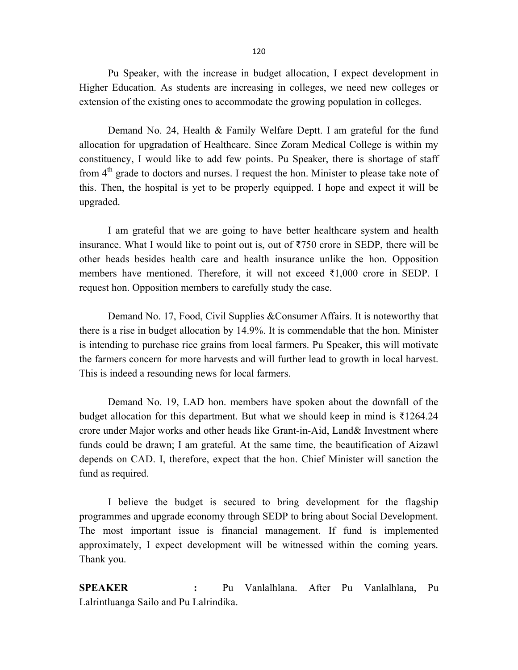Pu Speaker, with the increase in budget allocation, I expect development in Higher Education. As students are increasing in colleges, we need new colleges or extension of the existing ones to accommodate the growing population in colleges.

Demand No. 24, Health & Family Welfare Deptt. I am grateful for the fund allocation for upgradation of Healthcare. Since Zoram Medical College is within my constituency, I would like to add few points. Pu Speaker, there is shortage of staff from  $4<sup>th</sup>$  grade to doctors and nurses. I request the hon. Minister to please take note of this. Then, the hospital is yet to be properly equipped. I hope and expect it will be upgraded.

I am grateful that we are going to have better healthcare system and health insurance. What I would like to point out is, out of ₹750 crore in SEDP, there will be other heads besides health care and health insurance unlike the hon. Opposition members have mentioned. Therefore, it will not exceed  $\overline{31,000}$  crore in SEDP. I request hon. Opposition members to carefully study the case.

 Demand No. 17, Food, Civil Supplies &Consumer Affairs. It is noteworthy that there is a rise in budget allocation by 14.9%. It is commendable that the hon. Minister is intending to purchase rice grains from local farmers. Pu Speaker, this will motivate the farmers concern for more harvests and will further lead to growth in local harvest. This is indeed a resounding news for local farmers.

Demand No. 19, LAD hon. members have spoken about the downfall of the budget allocation for this department. But what we should keep in mind is ₹1264.24 crore under Major works and other heads like Grant-in-Aid, Land& Investment where funds could be drawn; I am grateful. At the same time, the beautification of Aizawl depends on CAD. I, therefore, expect that the hon. Chief Minister will sanction the fund as required.

 I believe the budget is secured to bring development for the flagship programmes and upgrade economy through SEDP to bring about Social Development. The most important issue is financial management. If fund is implemented approximately, I expect development will be witnessed within the coming years. Thank you.

SPEAKER : Pu Vanlalhlana. After Pu Vanlalhlana, Pu Lalrintluanga Sailo and Pu Lalrindika.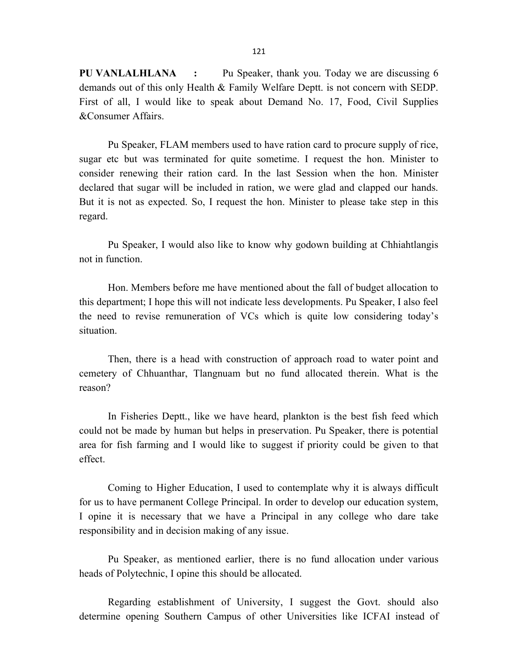PU VANLALHLANA : Pu Speaker, thank you. Today we are discussing 6 demands out of this only Health & Family Welfare Deptt. is not concern with SEDP. First of all, I would like to speak about Demand No. 17, Food, Civil Supplies &Consumer Affairs.

 Pu Speaker, FLAM members used to have ration card to procure supply of rice, sugar etc but was terminated for quite sometime. I request the hon. Minister to consider renewing their ration card. In the last Session when the hon. Minister declared that sugar will be included in ration, we were glad and clapped our hands. But it is not as expected. So, I request the hon. Minister to please take step in this regard.

Pu Speaker, I would also like to know why godown building at Chhiahtlangis not in function.

Hon. Members before me have mentioned about the fall of budget allocation to this department; I hope this will not indicate less developments. Pu Speaker, I also feel the need to revise remuneration of VCs which is quite low considering today's situation.

Then, there is a head with construction of approach road to water point and cemetery of Chhuanthar, Tlangnuam but no fund allocated therein. What is the reason?

In Fisheries Deptt., like we have heard, plankton is the best fish feed which could not be made by human but helps in preservation. Pu Speaker, there is potential area for fish farming and I would like to suggest if priority could be given to that effect.

Coming to Higher Education, I used to contemplate why it is always difficult for us to have permanent College Principal. In order to develop our education system, I opine it is necessary that we have a Principal in any college who dare take responsibility and in decision making of any issue.

 Pu Speaker, as mentioned earlier, there is no fund allocation under various heads of Polytechnic, I opine this should be allocated.

Regarding establishment of University, I suggest the Govt. should also determine opening Southern Campus of other Universities like ICFAI instead of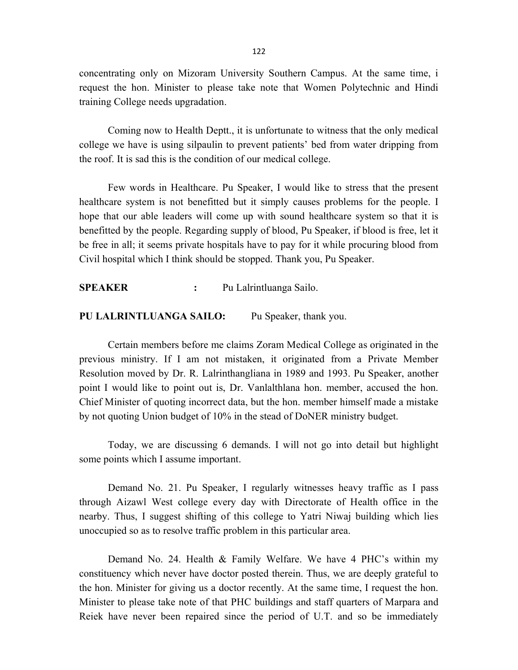concentrating only on Mizoram University Southern Campus. At the same time, i request the hon. Minister to please take note that Women Polytechnic and Hindi training College needs upgradation.

 Coming now to Health Deptt., it is unfortunate to witness that the only medical college we have is using silpaulin to prevent patients' bed from water dripping from the roof. It is sad this is the condition of our medical college.

Few words in Healthcare. Pu Speaker, I would like to stress that the present healthcare system is not benefitted but it simply causes problems for the people. I hope that our able leaders will come up with sound healthcare system so that it is benefitted by the people. Regarding supply of blood, Pu Speaker, if blood is free, let it be free in all; it seems private hospitals have to pay for it while procuring blood from Civil hospital which I think should be stopped. Thank you, Pu Speaker.

SPEAKER : Pu Lalrintluanga Sailo.

#### PU LALRINTLUANGA SAILO: Pu Speaker, thank you.

 Certain members before me claims Zoram Medical College as originated in the previous ministry. If I am not mistaken, it originated from a Private Member Resolution moved by Dr. R. Lalrinthangliana in 1989 and 1993. Pu Speaker, another point I would like to point out is, Dr. Vanlalthlana hon. member, accused the hon. Chief Minister of quoting incorrect data, but the hon. member himself made a mistake by not quoting Union budget of 10% in the stead of DoNER ministry budget.

 Today, we are discussing 6 demands. I will not go into detail but highlight some points which I assume important.

 Demand No. 21. Pu Speaker, I regularly witnesses heavy traffic as I pass through Aizawl West college every day with Directorate of Health office in the nearby. Thus, I suggest shifting of this college to Yatri Niwaj building which lies unoccupied so as to resolve traffic problem in this particular area.

Demand No. 24. Health & Family Welfare. We have 4 PHC's within my constituency which never have doctor posted therein. Thus, we are deeply grateful to the hon. Minister for giving us a doctor recently. At the same time, I request the hon. Minister to please take note of that PHC buildings and staff quarters of Marpara and Reiek have never been repaired since the period of U.T. and so be immediately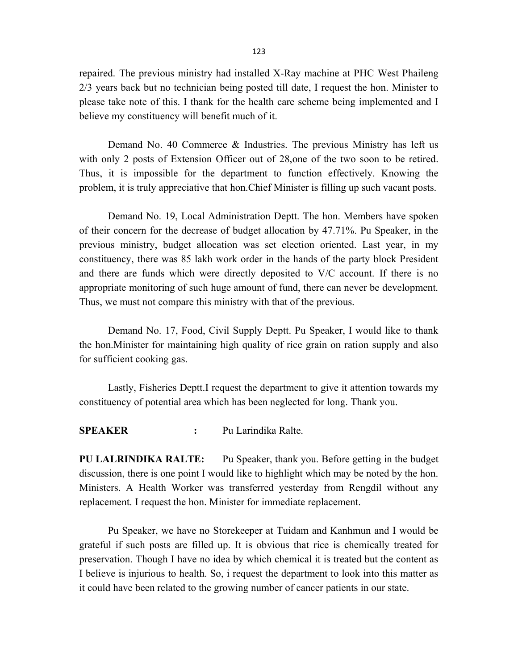repaired. The previous ministry had installed X-Ray machine at PHC West Phaileng 2/3 years back but no technician being posted till date, I request the hon. Minister to please take note of this. I thank for the health care scheme being implemented and I believe my constituency will benefit much of it.

 Demand No. 40 Commerce & Industries. The previous Ministry has left us with only 2 posts of Extension Officer out of 28,one of the two soon to be retired. Thus, it is impossible for the department to function effectively. Knowing the problem, it is truly appreciative that hon.Chief Minister is filling up such vacant posts.

 Demand No. 19, Local Administration Deptt. The hon. Members have spoken of their concern for the decrease of budget allocation by 47.71%. Pu Speaker, in the previous ministry, budget allocation was set election oriented. Last year, in my constituency, there was 85 lakh work order in the hands of the party block President and there are funds which were directly deposited to V/C account. If there is no appropriate monitoring of such huge amount of fund, there can never be development. Thus, we must not compare this ministry with that of the previous.

Demand No. 17, Food, Civil Supply Deptt. Pu Speaker, I would like to thank the hon.Minister for maintaining high quality of rice grain on ration supply and also for sufficient cooking gas.

 Lastly, Fisheries Deptt.I request the department to give it attention towards my constituency of potential area which has been neglected for long. Thank you.

SPEAKER : Pu Larindika Ralte.

PU LALRINDIKA RALTE: Pu Speaker, thank you. Before getting in the budget discussion, there is one point I would like to highlight which may be noted by the hon. Ministers. A Health Worker was transferred yesterday from Rengdil without any replacement. I request the hon. Minister for immediate replacement.

 Pu Speaker, we have no Storekeeper at Tuidam and Kanhmun and I would be grateful if such posts are filled up. It is obvious that rice is chemically treated for preservation. Though I have no idea by which chemical it is treated but the content as I believe is injurious to health. So, i request the department to look into this matter as it could have been related to the growing number of cancer patients in our state.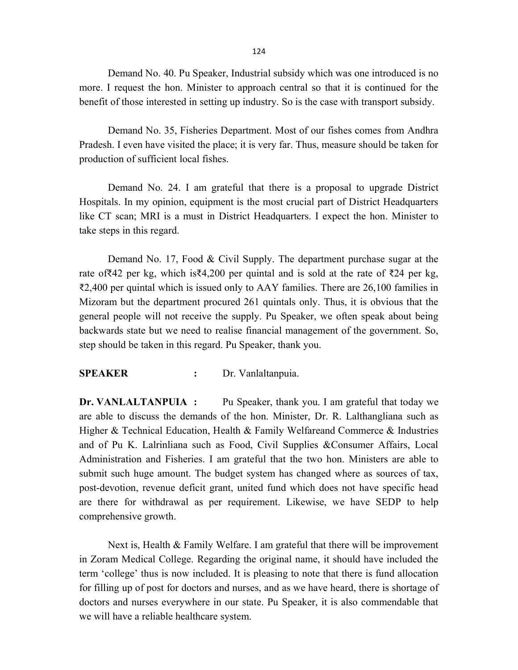Demand No. 40. Pu Speaker, Industrial subsidy which was one introduced is no more. I request the hon. Minister to approach central so that it is continued for the benefit of those interested in setting up industry. So is the case with transport subsidy.

Demand No. 35, Fisheries Department. Most of our fishes comes from Andhra Pradesh. I even have visited the place; it is very far. Thus, measure should be taken for production of sufficient local fishes.

Demand No. 24. I am grateful that there is a proposal to upgrade District Hospitals. In my opinion, equipment is the most crucial part of District Headquarters like CT scan; MRI is a must in District Headquarters. I expect the hon. Minister to take steps in this regard.

Demand No. 17, Food & Civil Supply. The department purchase sugar at the rate of₹42 per kg, which is₹4,200 per quintal and is sold at the rate of ₹24 per kg, ₹2,400 per quintal which is issued only to AAY families. There are 26,100 families in Mizoram but the department procured 261 quintals only. Thus, it is obvious that the general people will not receive the supply. Pu Speaker, we often speak about being backwards state but we need to realise financial management of the government. So, step should be taken in this regard. Pu Speaker, thank you.

#### SPEAKER : Dr. Vanlaltanpuia.

Dr. VANLALTANPUIA : Pu Speaker, thank you. I am grateful that today we are able to discuss the demands of the hon. Minister, Dr. R. Lalthangliana such as Higher & Technical Education, Health & Family Welfareand Commerce & Industries and of Pu K. Lalrinliana such as Food, Civil Supplies &Consumer Affairs, Local Administration and Fisheries. I am grateful that the two hon. Ministers are able to submit such huge amount. The budget system has changed where as sources of tax, post-devotion, revenue deficit grant, united fund which does not have specific head are there for withdrawal as per requirement. Likewise, we have SEDP to help comprehensive growth.

Next is, Health & Family Welfare. I am grateful that there will be improvement in Zoram Medical College. Regarding the original name, it should have included the term 'college' thus is now included. It is pleasing to note that there is fund allocation for filling up of post for doctors and nurses, and as we have heard, there is shortage of doctors and nurses everywhere in our state. Pu Speaker, it is also commendable that we will have a reliable healthcare system.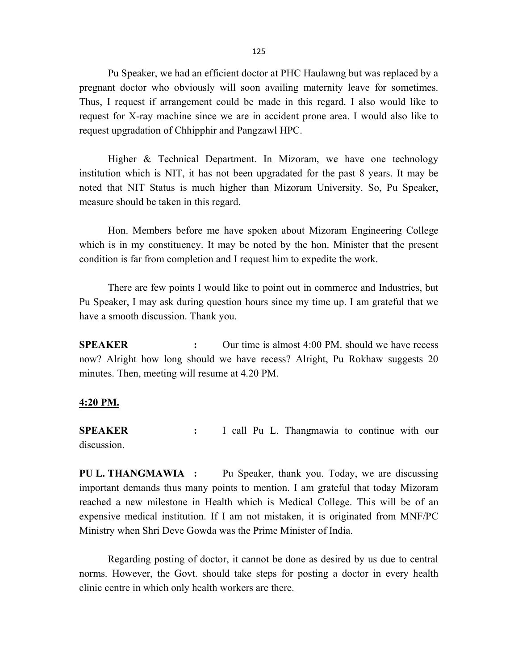125

Pu Speaker, we had an efficient doctor at PHC Haulawng but was replaced by a pregnant doctor who obviously will soon availing maternity leave for sometimes. Thus, I request if arrangement could be made in this regard. I also would like to request for X-ray machine since we are in accident prone area. I would also like to request upgradation of Chhipphir and Pangzawl HPC.

Higher & Technical Department. In Mizoram, we have one technology institution which is NIT, it has not been upgradated for the past 8 years. It may be noted that NIT Status is much higher than Mizoram University. So, Pu Speaker, measure should be taken in this regard.

Hon. Members before me have spoken about Mizoram Engineering College which is in my constituency. It may be noted by the hon. Minister that the present condition is far from completion and I request him to expedite the work.

There are few points I would like to point out in commerce and Industries, but Pu Speaker, I may ask during question hours since my time up. I am grateful that we have a smooth discussion. Thank you.

SPEAKER : Our time is almost 4:00 PM. should we have recess now? Alright how long should we have recess? Alright, Pu Rokhaw suggests 20 minutes. Then, meeting will resume at 4.20 PM.

#### 4:20 PM.

SPEAKER : I call Pu L. Thangmawia to continue with our discussion.

PU L. THANGMAWIA : Pu Speaker, thank you. Today, we are discussing important demands thus many points to mention. I am grateful that today Mizoram reached a new milestone in Health which is Medical College. This will be of an expensive medical institution. If I am not mistaken, it is originated from MNF/PC Ministry when Shri Deve Gowda was the Prime Minister of India.

 Regarding posting of doctor, it cannot be done as desired by us due to central norms. However, the Govt. should take steps for posting a doctor in every health clinic centre in which only health workers are there.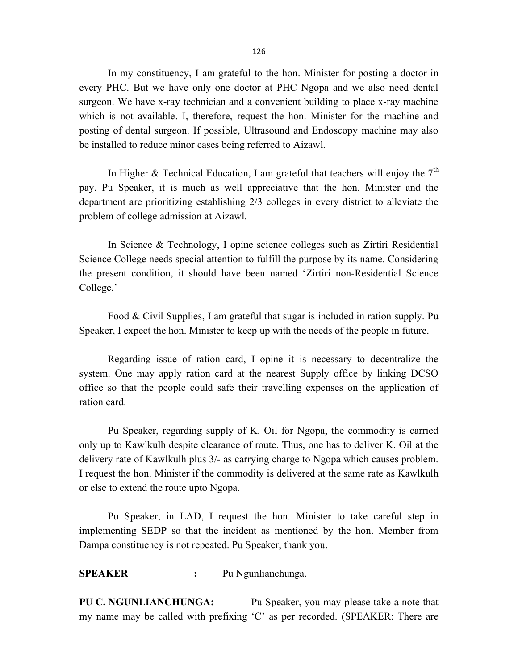In my constituency, I am grateful to the hon. Minister for posting a doctor in every PHC. But we have only one doctor at PHC Ngopa and we also need dental surgeon. We have x-ray technician and a convenient building to place x-ray machine which is not available. I, therefore, request the hon. Minister for the machine and posting of dental surgeon. If possible, Ultrasound and Endoscopy machine may also be installed to reduce minor cases being referred to Aizawl.

In Higher & Technical Education, I am grateful that teachers will enjoy the  $7<sup>th</sup>$ pay. Pu Speaker, it is much as well appreciative that the hon. Minister and the department are prioritizing establishing 2/3 colleges in every district to alleviate the problem of college admission at Aizawl.

 In Science & Technology, I opine science colleges such as Zirtiri Residential Science College needs special attention to fulfill the purpose by its name. Considering the present condition, it should have been named 'Zirtiri non-Residential Science College.'

 Food & Civil Supplies, I am grateful that sugar is included in ration supply. Pu Speaker, I expect the hon. Minister to keep up with the needs of the people in future.

 Regarding issue of ration card, I opine it is necessary to decentralize the system. One may apply ration card at the nearest Supply office by linking DCSO office so that the people could safe their travelling expenses on the application of ration card.

 Pu Speaker, regarding supply of K. Oil for Ngopa, the commodity is carried only up to Kawlkulh despite clearance of route. Thus, one has to deliver K. Oil at the delivery rate of Kawlkulh plus 3/- as carrying charge to Ngopa which causes problem. I request the hon. Minister if the commodity is delivered at the same rate as Kawlkulh or else to extend the route upto Ngopa.

Pu Speaker, in LAD, I request the hon. Minister to take careful step in implementing SEDP so that the incident as mentioned by the hon. Member from Dampa constituency is not repeated. Pu Speaker, thank you.

SPEAKER : Pu Ngunlianchunga.

PU C. NGUNLIANCHUNGA: Pu Speaker, you may please take a note that my name may be called with prefixing 'C' as per recorded. (SPEAKER: There are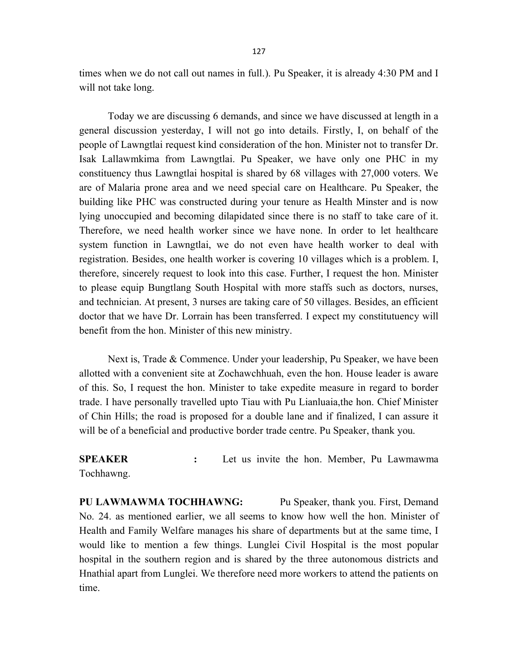times when we do not call out names in full.). Pu Speaker, it is already 4:30 PM and I will not take long.

 Today we are discussing 6 demands, and since we have discussed at length in a general discussion yesterday, I will not go into details. Firstly, I, on behalf of the people of Lawngtlai request kind consideration of the hon. Minister not to transfer Dr. Isak Lallawmkima from Lawngtlai. Pu Speaker, we have only one PHC in my constituency thus Lawngtlai hospital is shared by 68 villages with 27,000 voters. We are of Malaria prone area and we need special care on Healthcare. Pu Speaker, the building like PHC was constructed during your tenure as Health Minster and is now lying unoccupied and becoming dilapidated since there is no staff to take care of it. Therefore, we need health worker since we have none. In order to let healthcare system function in Lawngtlai, we do not even have health worker to deal with registration. Besides, one health worker is covering 10 villages which is a problem. I, therefore, sincerely request to look into this case. Further, I request the hon. Minister to please equip Bungtlang South Hospital with more staffs such as doctors, nurses, and technician. At present, 3 nurses are taking care of 50 villages. Besides, an efficient doctor that we have Dr. Lorrain has been transferred. I expect my constitutuency will benefit from the hon. Minister of this new ministry.

Next is, Trade & Commence. Under your leadership, Pu Speaker, we have been allotted with a convenient site at Zochawchhuah, even the hon. House leader is aware of this. So, I request the hon. Minister to take expedite measure in regard to border trade. I have personally travelled upto Tiau with Pu Lianluaia,the hon. Chief Minister of Chin Hills; the road is proposed for a double lane and if finalized, I can assure it will be of a beneficial and productive border trade centre. Pu Speaker, thank you.

SPEAKER : Let us invite the hon. Member, Pu Lawmawma Tochhawng.

PU LAWMAWMA TOCHHAWNG: Pu Speaker, thank you. First, Demand No. 24. as mentioned earlier, we all seems to know how well the hon. Minister of Health and Family Welfare manages his share of departments but at the same time, I would like to mention a few things. Lunglei Civil Hospital is the most popular hospital in the southern region and is shared by the three autonomous districts and Hnathial apart from Lunglei. We therefore need more workers to attend the patients on time.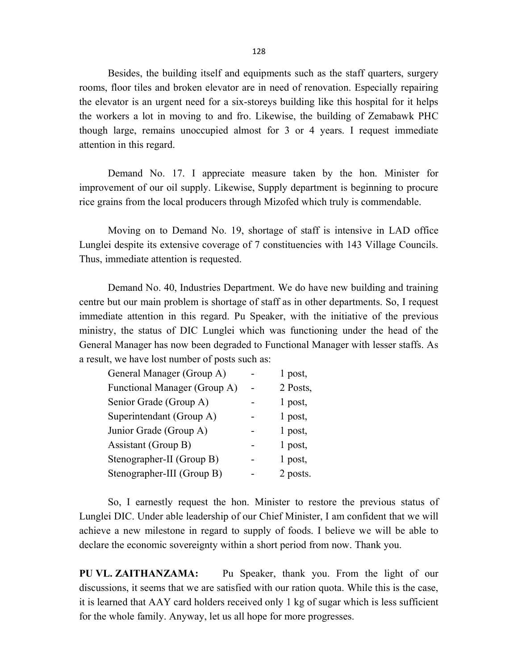128

 Besides, the building itself and equipments such as the staff quarters, surgery rooms, floor tiles and broken elevator are in need of renovation. Especially repairing the elevator is an urgent need for a six-storeys building like this hospital for it helps the workers a lot in moving to and fro. Likewise, the building of Zemabawk PHC though large, remains unoccupied almost for 3 or 4 years. I request immediate attention in this regard.

 Demand No. 17. I appreciate measure taken by the hon. Minister for improvement of our oil supply. Likewise, Supply department is beginning to procure rice grains from the local producers through Mizofed which truly is commendable.

 Moving on to Demand No. 19, shortage of staff is intensive in LAD office Lunglei despite its extensive coverage of 7 constituencies with 143 Village Councils. Thus, immediate attention is requested.

Demand No. 40, Industries Department. We do have new building and training centre but our main problem is shortage of staff as in other departments. So, I request immediate attention in this regard. Pu Speaker, with the initiative of the previous ministry, the status of DIC Lunglei which was functioning under the head of the General Manager has now been degraded to Functional Manager with lesser staffs. As a result, we have lost number of posts such as:

| General Manager (Group A)    |  | 1 post,  |
|------------------------------|--|----------|
| Functional Manager (Group A) |  | 2 Posts, |
| Senior Grade (Group A)       |  | 1 post,  |
| Superintendant (Group A)     |  | 1 post,  |
| Junior Grade (Group A)       |  | 1 post,  |
| Assistant (Group B)          |  | 1 post,  |
| Stenographer-II (Group B)    |  | 1 post,  |
| Stenographer-III (Group B)   |  | 2 posts. |

So, I earnestly request the hon. Minister to restore the previous status of Lunglei DIC. Under able leadership of our Chief Minister, I am confident that we will achieve a new milestone in regard to supply of foods. I believe we will be able to declare the economic sovereignty within a short period from now. Thank you.

PU VL. ZAITHANZAMA: Pu Speaker, thank you. From the light of our discussions, it seems that we are satisfied with our ration quota. While this is the case, it is learned that AAY card holders received only 1 kg of sugar which is less sufficient for the whole family. Anyway, let us all hope for more progresses.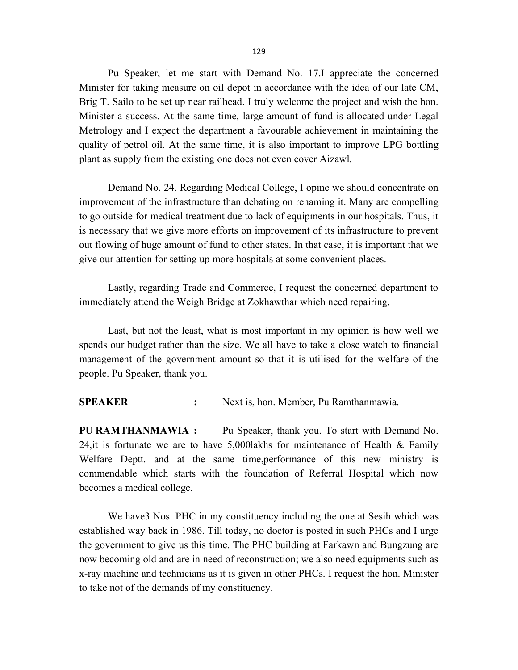Pu Speaker, let me start with Demand No. 17.I appreciate the concerned Minister for taking measure on oil depot in accordance with the idea of our late CM, Brig T. Sailo to be set up near railhead. I truly welcome the project and wish the hon. Minister a success. At the same time, large amount of fund is allocated under Legal Metrology and I expect the department a favourable achievement in maintaining the quality of petrol oil. At the same time, it is also important to improve LPG bottling plant as supply from the existing one does not even cover Aizawl.

Demand No. 24. Regarding Medical College, I opine we should concentrate on improvement of the infrastructure than debating on renaming it. Many are compelling to go outside for medical treatment due to lack of equipments in our hospitals. Thus, it is necessary that we give more efforts on improvement of its infrastructure to prevent out flowing of huge amount of fund to other states. In that case, it is important that we give our attention for setting up more hospitals at some convenient places.

 Lastly, regarding Trade and Commerce, I request the concerned department to immediately attend the Weigh Bridge at Zokhawthar which need repairing.

 Last, but not the least, what is most important in my opinion is how well we spends our budget rather than the size. We all have to take a close watch to financial management of the government amount so that it is utilised for the welfare of the people. Pu Speaker, thank you.

SPEAKER : Next is, hon. Member, Pu Ramthanmawia.

PU RAMTHANMAWIA : Pu Speaker, thank you. To start with Demand No. 24, it is fortunate we are to have 5,000 lakhs for maintenance of Health  $\&$  Family Welfare Deptt. and at the same time,performance of this new ministry is commendable which starts with the foundation of Referral Hospital which now becomes a medical college.

We have3 Nos. PHC in my constituency including the one at Sesih which was established way back in 1986. Till today, no doctor is posted in such PHCs and I urge the government to give us this time. The PHC building at Farkawn and Bungzung are now becoming old and are in need of reconstruction; we also need equipments such as x-ray machine and technicians as it is given in other PHCs. I request the hon. Minister to take not of the demands of my constituency.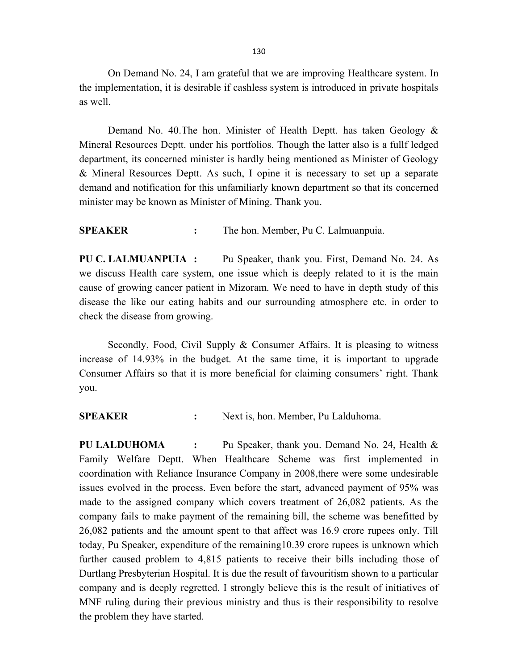On Demand No. 24, I am grateful that we are improving Healthcare system. In the implementation, it is desirable if cashless system is introduced in private hospitals as well.

Demand No. 40.The hon. Minister of Health Deptt. has taken Geology & Mineral Resources Deptt. under his portfolios. Though the latter also is a fullf ledged department, its concerned minister is hardly being mentioned as Minister of Geology & Mineral Resources Deptt. As such, I opine it is necessary to set up a separate demand and notification for this unfamiliarly known department so that its concerned minister may be known as Minister of Mining. Thank you.

SPEAKER : The hon. Member, Pu C. Lalmuanpuia.

PU C. LALMUANPUIA : Pu Speaker, thank you. First, Demand No. 24. As we discuss Health care system, one issue which is deeply related to it is the main cause of growing cancer patient in Mizoram. We need to have in depth study of this disease the like our eating habits and our surrounding atmosphere etc. in order to check the disease from growing.

 Secondly, Food, Civil Supply & Consumer Affairs. It is pleasing to witness increase of 14.93% in the budget. At the same time, it is important to upgrade Consumer Affairs so that it is more beneficial for claiming consumers' right. Thank you.

SPEAKER : Next is, hon. Member, Pu Lalduhoma.

PU LALDUHOMA : Pu Speaker, thank you. Demand No. 24, Health & Family Welfare Deptt. When Healthcare Scheme was first implemented in coordination with Reliance Insurance Company in 2008,there were some undesirable issues evolved in the process. Even before the start, advanced payment of 95% was made to the assigned company which covers treatment of 26,082 patients. As the company fails to make payment of the remaining bill, the scheme was benefitted by 26,082 patients and the amount spent to that affect was 16.9 crore rupees only. Till today, Pu Speaker, expenditure of the remaining10.39 crore rupees is unknown which further caused problem to 4,815 patients to receive their bills including those of Durtlang Presbyterian Hospital. It is due the result of favouritism shown to a particular company and is deeply regretted. I strongly believe this is the result of initiatives of MNF ruling during their previous ministry and thus is their responsibility to resolve the problem they have started.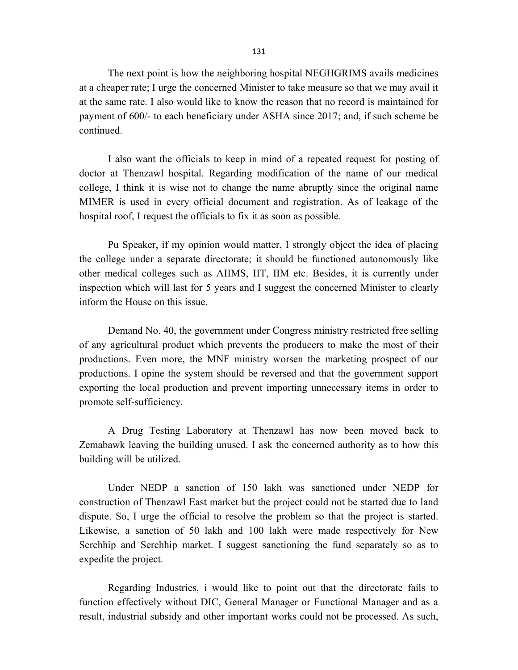The next point is how the neighboring hospital NEGHGRIMS avails medicines at a cheaper rate; I urge the concerned Minister to take measure so that we may avail it at the same rate. I also would like to know the reason that no record is maintained for payment of 600/- to each beneficiary under ASHA since 2017; and, if such scheme be continued.

 I also want the officials to keep in mind of a repeated request for posting of doctor at Thenzawl hospital. Regarding modification of the name of our medical college, I think it is wise not to change the name abruptly since the original name MIMER is used in every official document and registration. As of leakage of the hospital roof, I request the officials to fix it as soon as possible.

 Pu Speaker, if my opinion would matter, I strongly object the idea of placing the college under a separate directorate; it should be functioned autonomously like other medical colleges such as AIIMS, IIT, IIM etc. Besides, it is currently under inspection which will last for 5 years and I suggest the concerned Minister to clearly inform the House on this issue.

Demand No. 40, the government under Congress ministry restricted free selling of any agricultural product which prevents the producers to make the most of their productions. Even more, the MNF ministry worsen the marketing prospect of our productions. I opine the system should be reversed and that the government support exporting the local production and prevent importing unnecessary items in order to promote self-sufficiency.

 A Drug Testing Laboratory at Thenzawl has now been moved back to Zemabawk leaving the building unused. I ask the concerned authority as to how this building will be utilized.

Under NEDP a sanction of 150 lakh was sanctioned under NEDP for construction of Thenzawl East market but the project could not be started due to land dispute. So, I urge the official to resolve the problem so that the project is started. Likewise, a sanction of 50 lakh and 100 lakh were made respectively for New Serchhip and Serchhip market. I suggest sanctioning the fund separately so as to expedite the project.

Regarding Industries, i would like to point out that the directorate fails to function effectively without DIC, General Manager or Functional Manager and as a result, industrial subsidy and other important works could not be processed. As such,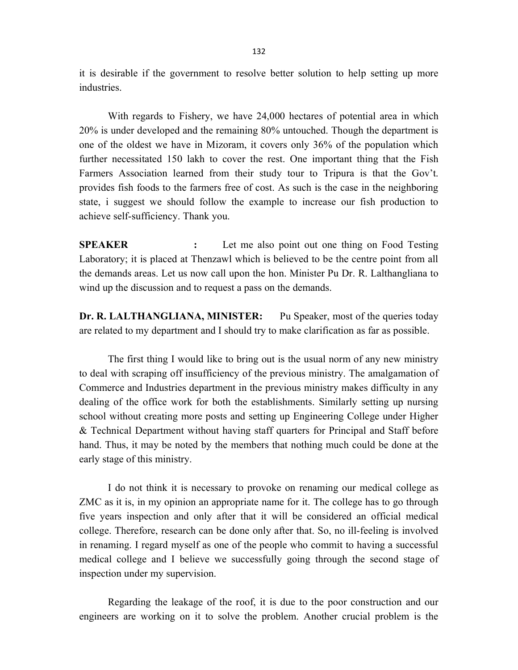it is desirable if the government to resolve better solution to help setting up more industries.

With regards to Fishery, we have 24,000 hectares of potential area in which 20% is under developed and the remaining 80% untouched. Though the department is one of the oldest we have in Mizoram, it covers only 36% of the population which further necessitated 150 lakh to cover the rest. One important thing that the Fish Farmers Association learned from their study tour to Tripura is that the Gov't. provides fish foods to the farmers free of cost. As such is the case in the neighboring state, i suggest we should follow the example to increase our fish production to achieve self-sufficiency. Thank you.

SPEAKER : Let me also point out one thing on Food Testing Laboratory; it is placed at Thenzawl which is believed to be the centre point from all the demands areas. Let us now call upon the hon. Minister Pu Dr. R. Lalthangliana to wind up the discussion and to request a pass on the demands.

Dr. R. LALTHANGLIANA, MINISTER: Pu Speaker, most of the queries today are related to my department and I should try to make clarification as far as possible.

The first thing I would like to bring out is the usual norm of any new ministry to deal with scraping off insufficiency of the previous ministry. The amalgamation of Commerce and Industries department in the previous ministry makes difficulty in any dealing of the office work for both the establishments. Similarly setting up nursing school without creating more posts and setting up Engineering College under Higher & Technical Department without having staff quarters for Principal and Staff before hand. Thus, it may be noted by the members that nothing much could be done at the early stage of this ministry.

 I do not think it is necessary to provoke on renaming our medical college as ZMC as it is, in my opinion an appropriate name for it. The college has to go through five years inspection and only after that it will be considered an official medical college. Therefore, research can be done only after that. So, no ill-feeling is involved in renaming. I regard myself as one of the people who commit to having a successful medical college and I believe we successfully going through the second stage of inspection under my supervision.

 Regarding the leakage of the roof, it is due to the poor construction and our engineers are working on it to solve the problem. Another crucial problem is the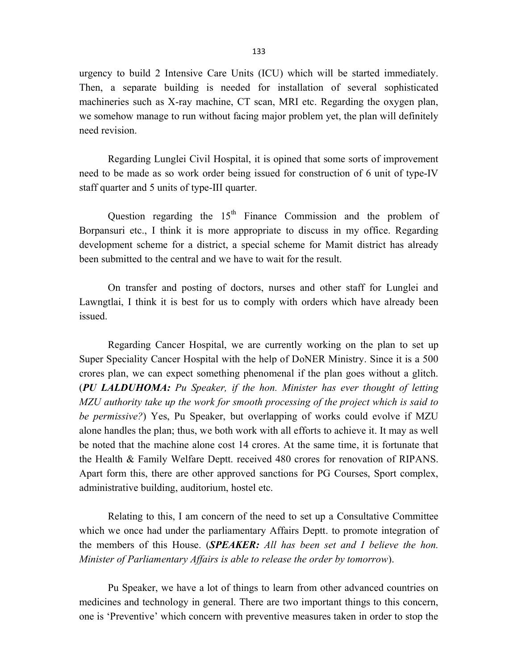urgency to build 2 Intensive Care Units (ICU) which will be started immediately. Then, a separate building is needed for installation of several sophisticated machineries such as X-ray machine, CT scan, MRI etc. Regarding the oxygen plan, we somehow manage to run without facing major problem yet, the plan will definitely need revision.

Regarding Lunglei Civil Hospital, it is opined that some sorts of improvement need to be made as so work order being issued for construction of 6 unit of type-IV staff quarter and 5 units of type-III quarter.

Question regarding the  $15<sup>th</sup>$  Finance Commission and the problem of Borpansuri etc., I think it is more appropriate to discuss in my office. Regarding development scheme for a district, a special scheme for Mamit district has already been submitted to the central and we have to wait for the result.

 On transfer and posting of doctors, nurses and other staff for Lunglei and Lawngtlai, I think it is best for us to comply with orders which have already been issued.

 Regarding Cancer Hospital, we are currently working on the plan to set up Super Speciality Cancer Hospital with the help of DoNER Ministry. Since it is a 500 crores plan, we can expect something phenomenal if the plan goes without a glitch. (PU LALDUHOMA: Pu Speaker, if the hon. Minister has ever thought of letting MZU authority take up the work for smooth processing of the project which is said to be permissive?) Yes, Pu Speaker, but overlapping of works could evolve if MZU alone handles the plan; thus, we both work with all efforts to achieve it. It may as well be noted that the machine alone cost 14 crores. At the same time, it is fortunate that the Health & Family Welfare Deptt. received 480 crores for renovation of RIPANS. Apart form this, there are other approved sanctions for PG Courses, Sport complex, administrative building, auditorium, hostel etc.

 Relating to this, I am concern of the need to set up a Consultative Committee which we once had under the parliamentary Affairs Deptt. to promote integration of the members of this House. (SPEAKER: All has been set and I believe the hon. Minister of Parliamentary Affairs is able to release the order by tomorrow).

 Pu Speaker, we have a lot of things to learn from other advanced countries on medicines and technology in general. There are two important things to this concern, one is 'Preventive' which concern with preventive measures taken in order to stop the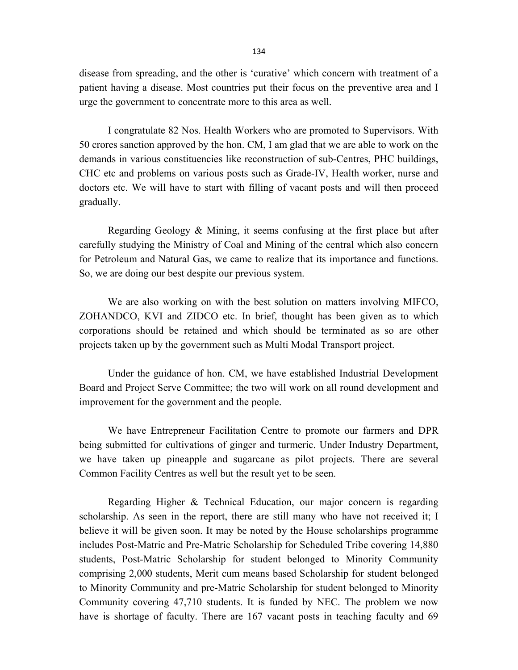disease from spreading, and the other is 'curative' which concern with treatment of a patient having a disease. Most countries put their focus on the preventive area and I urge the government to concentrate more to this area as well.

I congratulate 82 Nos. Health Workers who are promoted to Supervisors. With 50 crores sanction approved by the hon. CM, I am glad that we are able to work on the demands in various constituencies like reconstruction of sub-Centres, PHC buildings, CHC etc and problems on various posts such as Grade-IV, Health worker, nurse and doctors etc. We will have to start with filling of vacant posts and will then proceed gradually.

Regarding Geology & Mining, it seems confusing at the first place but after carefully studying the Ministry of Coal and Mining of the central which also concern for Petroleum and Natural Gas, we came to realize that its importance and functions. So, we are doing our best despite our previous system.

 We are also working on with the best solution on matters involving MIFCO, ZOHANDCO, KVI and ZIDCO etc. In brief, thought has been given as to which corporations should be retained and which should be terminated as so are other projects taken up by the government such as Multi Modal Transport project.

 Under the guidance of hon. CM, we have established Industrial Development Board and Project Serve Committee; the two will work on all round development and improvement for the government and the people.

 We have Entrepreneur Facilitation Centre to promote our farmers and DPR being submitted for cultivations of ginger and turmeric. Under Industry Department, we have taken up pineapple and sugarcane as pilot projects. There are several Common Facility Centres as well but the result yet to be seen.

 Regarding Higher & Technical Education, our major concern is regarding scholarship. As seen in the report, there are still many who have not received it; I believe it will be given soon. It may be noted by the House scholarships programme includes Post-Matric and Pre-Matric Scholarship for Scheduled Tribe covering 14,880 students, Post-Matric Scholarship for student belonged to Minority Community comprising 2,000 students, Merit cum means based Scholarship for student belonged to Minority Community and pre-Matric Scholarship for student belonged to Minority Community covering 47,710 students. It is funded by NEC. The problem we now have is shortage of faculty. There are 167 vacant posts in teaching faculty and 69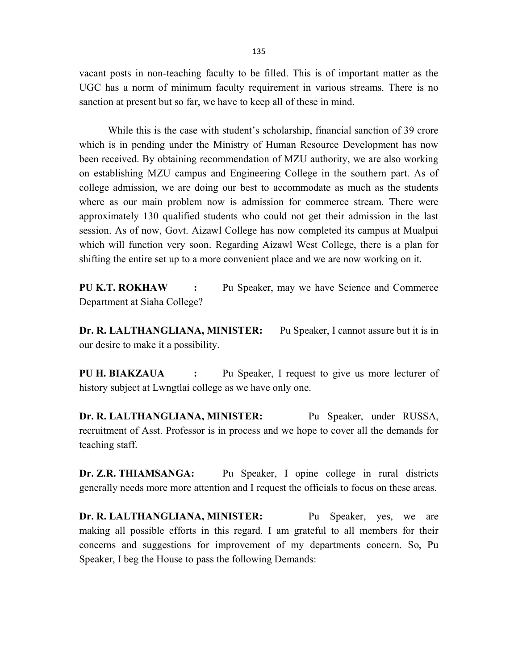vacant posts in non-teaching faculty to be filled. This is of important matter as the UGC has a norm of minimum faculty requirement in various streams. There is no sanction at present but so far, we have to keep all of these in mind.

 While this is the case with student's scholarship, financial sanction of 39 crore which is in pending under the Ministry of Human Resource Development has now been received. By obtaining recommendation of MZU authority, we are also working on establishing MZU campus and Engineering College in the southern part. As of college admission, we are doing our best to accommodate as much as the students where as our main problem now is admission for commerce stream. There were approximately 130 qualified students who could not get their admission in the last session. As of now, Govt. Aizawl College has now completed its campus at Mualpui which will function very soon. Regarding Aizawl West College, there is a plan for shifting the entire set up to a more convenient place and we are now working on it.

PU K.T. ROKHAW : Pu Speaker, may we have Science and Commerce Department at Siaha College?

Dr. R. LALTHANGLIANA, MINISTER: Pu Speaker, I cannot assure but it is in our desire to make it a possibility.

PU H. BIAKZAUA : Pu Speaker, I request to give us more lecturer of history subject at Lwngtlai college as we have only one.

Dr. R. LALTHANGLIANA, MINISTER: Pu Speaker, under RUSSA, recruitment of Asst. Professor is in process and we hope to cover all the demands for teaching staff.

Dr. Z.R. THIAMSANGA: Pu Speaker, I opine college in rural districts generally needs more more attention and I request the officials to focus on these areas.

Dr. R. LALTHANGLIANA, MINISTER: Pu Speaker, yes, we are making all possible efforts in this regard. I am grateful to all members for their concerns and suggestions for improvement of my departments concern. So, Pu Speaker, I beg the House to pass the following Demands: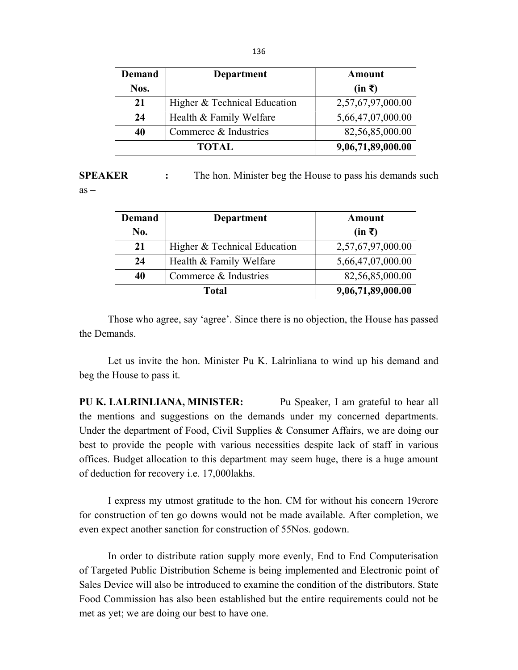| <b>Demand</b> | Department                   | Amount            |
|---------------|------------------------------|-------------------|
| Nos.          |                              | $(in \bar{z})$    |
| 21            | Higher & Technical Education | 2,57,67,97,000.00 |
| 24            | Health & Family Welfare      | 5,66,47,07,000.00 |
| 40            | Commerce & Industries        | 82,56,85,000.00   |
| TOTAL         |                              | 9,06,71,89,000.00 |

SPEAKER : The hon. Minister beg the House to pass his demands such  $as -$ 

| <b>Demand</b> | <b>Department</b>            | Amount            |
|---------------|------------------------------|-------------------|
| No.           |                              | $(in \bar{z})$    |
| 21            | Higher & Technical Education | 2,57,67,97,000.00 |
| 24            | Health & Family Welfare      | 5,66,47,07,000.00 |
| 40            | Commerce & Industries        | 82,56,85,000.00   |
| <b>Total</b>  |                              | 9,06,71,89,000.00 |

Those who agree, say 'agree'. Since there is no objection, the House has passed the Demands.

 Let us invite the hon. Minister Pu K. Lalrinliana to wind up his demand and beg the House to pass it.

PU K. LALRINLIANA, MINISTER: Pu Speaker, I am grateful to hear all the mentions and suggestions on the demands under my concerned departments. Under the department of Food, Civil Supplies & Consumer Affairs, we are doing our best to provide the people with various necessities despite lack of staff in various offices. Budget allocation to this department may seem huge, there is a huge amount of deduction for recovery i.e. 17,000lakhs.

I express my utmost gratitude to the hon. CM for without his concern 19crore for construction of ten go downs would not be made available. After completion, we even expect another sanction for construction of 55Nos. godown.

In order to distribute ration supply more evenly, End to End Computerisation of Targeted Public Distribution Scheme is being implemented and Electronic point of Sales Device will also be introduced to examine the condition of the distributors. State Food Commission has also been established but the entire requirements could not be met as yet; we are doing our best to have one.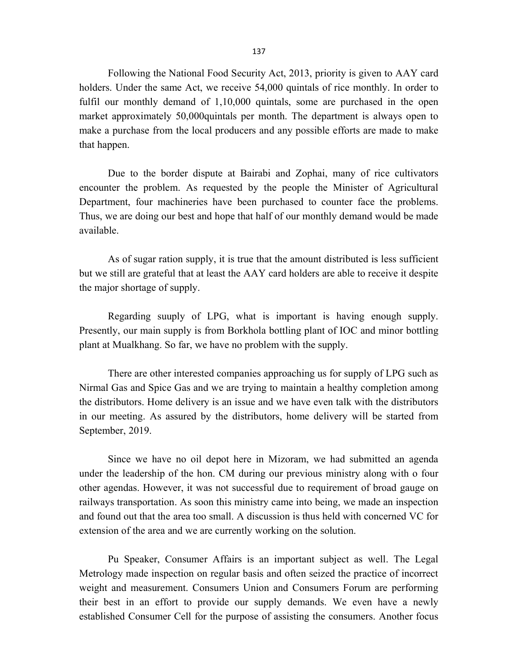Following the National Food Security Act, 2013, priority is given to AAY card holders. Under the same Act, we receive 54,000 quintals of rice monthly. In order to fulfil our monthly demand of 1,10,000 quintals, some are purchased in the open market approximately 50,000quintals per month. The department is always open to make a purchase from the local producers and any possible efforts are made to make that happen.

Due to the border dispute at Bairabi and Zophai, many of rice cultivators encounter the problem. As requested by the people the Minister of Agricultural Department, four machineries have been purchased to counter face the problems. Thus, we are doing our best and hope that half of our monthly demand would be made available.

As of sugar ration supply, it is true that the amount distributed is less sufficient but we still are grateful that at least the AAY card holders are able to receive it despite the major shortage of supply.

 Regarding suuply of LPG, what is important is having enough supply. Presently, our main supply is from Borkhola bottling plant of IOC and minor bottling plant at Mualkhang. So far, we have no problem with the supply.

 There are other interested companies approaching us for supply of LPG such as Nirmal Gas and Spice Gas and we are trying to maintain a healthy completion among the distributors. Home delivery is an issue and we have even talk with the distributors in our meeting. As assured by the distributors, home delivery will be started from September, 2019.

 Since we have no oil depot here in Mizoram, we had submitted an agenda under the leadership of the hon. CM during our previous ministry along with o four other agendas. However, it was not successful due to requirement of broad gauge on railways transportation. As soon this ministry came into being, we made an inspection and found out that the area too small. A discussion is thus held with concerned VC for extension of the area and we are currently working on the solution.

 Pu Speaker, Consumer Affairs is an important subject as well. The Legal Metrology made inspection on regular basis and often seized the practice of incorrect weight and measurement. Consumers Union and Consumers Forum are performing their best in an effort to provide our supply demands. We even have a newly established Consumer Cell for the purpose of assisting the consumers. Another focus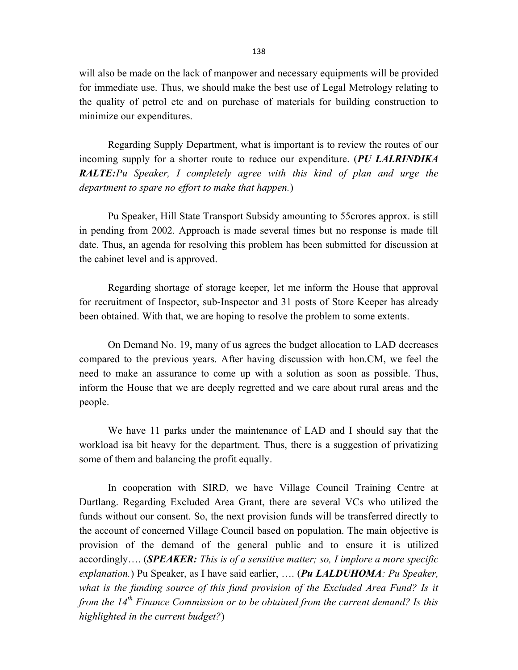will also be made on the lack of manpower and necessary equipments will be provided for immediate use. Thus, we should make the best use of Legal Metrology relating to the quality of petrol etc and on purchase of materials for building construction to minimize our expenditures.

 Regarding Supply Department, what is important is to review the routes of our incoming supply for a shorter route to reduce our expenditure. (PU LALRINDIKA RALTE: Pu Speaker, I completely agree with this kind of plan and urge the department to spare no effort to make that happen.)

 Pu Speaker, Hill State Transport Subsidy amounting to 55crores approx. is still in pending from 2002. Approach is made several times but no response is made till date. Thus, an agenda for resolving this problem has been submitted for discussion at the cabinet level and is approved.

 Regarding shortage of storage keeper, let me inform the House that approval for recruitment of Inspector, sub-Inspector and 31 posts of Store Keeper has already been obtained. With that, we are hoping to resolve the problem to some extents.

On Demand No. 19, many of us agrees the budget allocation to LAD decreases compared to the previous years. After having discussion with hon.CM, we feel the need to make an assurance to come up with a solution as soon as possible. Thus, inform the House that we are deeply regretted and we care about rural areas and the people.

We have 11 parks under the maintenance of LAD and I should say that the workload isa bit heavy for the department. Thus, there is a suggestion of privatizing some of them and balancing the profit equally.

In cooperation with SIRD, we have Village Council Training Centre at Durtlang. Regarding Excluded Area Grant, there are several VCs who utilized the funds without our consent. So, the next provision funds will be transferred directly to the account of concerned Village Council based on population. The main objective is provision of the demand of the general public and to ensure it is utilized accordingly.... (SPEAKER: This is of a sensitive matter; so, I implore a more specific explanation.) Pu Speaker, as I have said earlier, .... (Pu LALDUHOMA: Pu Speaker, what is the funding source of this fund provision of the Excluded Area Fund? Is it from the  $14^{th}$  Finance Commission or to be obtained from the current demand? Is this highlighted in the current budget?)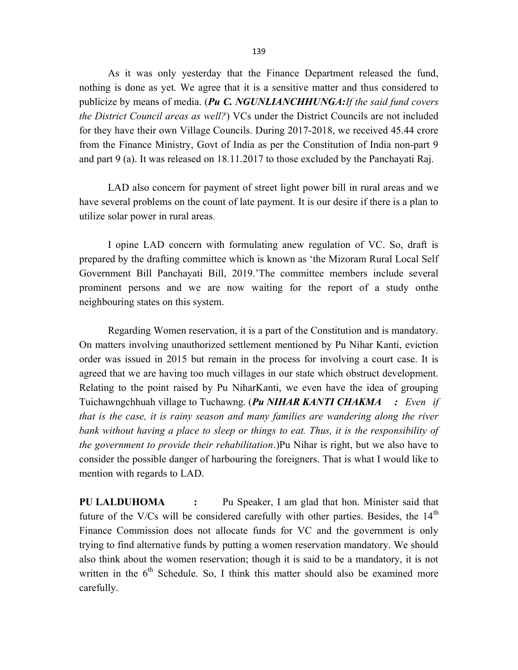As it was only yesterday that the Finance Department released the fund, nothing is done as yet. We agree that it is a sensitive matter and thus considered to publicize by means of media. (Pu C. NGUNLIANCHHUNGA: If the said fund covers the District Council areas as well?) VCs under the District Councils are not included for they have their own Village Councils. During 2017-2018, we received 45.44 crore from the Finance Ministry, Govt of India as per the Constitution of India non-part 9 and part 9 (a). It was released on 18.11.2017 to those excluded by the Panchayati Raj.

LAD also concern for payment of street light power bill in rural areas and we have several problems on the count of late payment. It is our desire if there is a plan to utilize solar power in rural areas.

I opine LAD concern with formulating anew regulation of VC. So, draft is prepared by the drafting committee which is known as 'the Mizoram Rural Local Self Government Bill Panchayati Bill, 2019.'The committee members include several prominent persons and we are now waiting for the report of a study onthe neighbouring states on this system.

Regarding Women reservation, it is a part of the Constitution and is mandatory. On matters involving unauthorized settlement mentioned by Pu Nihar Kanti, eviction order was issued in 2015 but remain in the process for involving a court case. It is agreed that we are having too much villages in our state which obstruct development. Relating to the point raised by Pu NiharKanti, we even have the idea of grouping Tuichawngchhuah village to Tuchawng. (Pu NIHAR KANTI CHAKMA : Even if that is the case, it is rainy season and many families are wandering along the river bank without having a place to sleep or things to eat. Thus, it is the responsibility of the government to provide their rehabilitation.)Pu Nihar is right, but we also have to consider the possible danger of harbouring the foreigners. That is what I would like to mention with regards to LAD.

PU LALDUHOMA : Pu Speaker, I am glad that hon. Minister said that future of the V/Cs will be considered carefully with other parties. Besides, the  $14<sup>th</sup>$ Finance Commission does not allocate funds for VC and the government is only trying to find alternative funds by putting a women reservation mandatory. We should also think about the women reservation; though it is said to be a mandatory, it is not written in the  $6<sup>th</sup>$  Schedule. So, I think this matter should also be examined more carefully.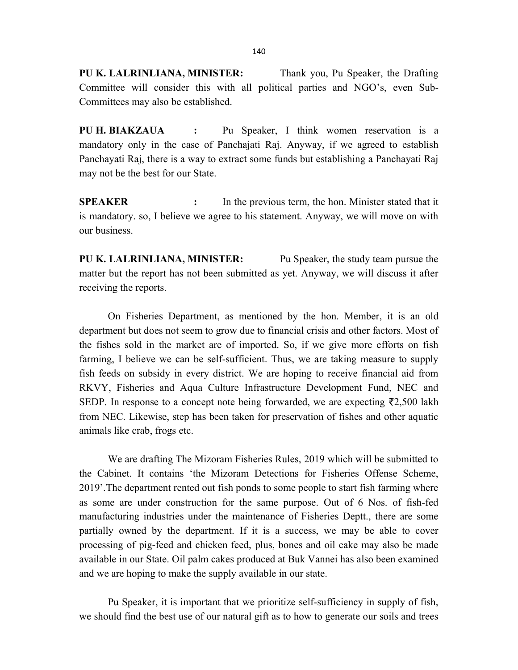PU K. LALRINLIANA, MINISTER: Thank you, Pu Speaker, the Drafting Committee will consider this with all political parties and NGO's, even Sub-Committees may also be established.

PU H. BIAKZAUA : Pu Speaker, I think women reservation is a mandatory only in the case of Panchajati Raj. Anyway, if we agreed to establish Panchayati Raj, there is a way to extract some funds but establishing a Panchayati Raj may not be the best for our State.

**SPEAKER** : In the previous term, the hon. Minister stated that it is mandatory. so, I believe we agree to his statement. Anyway, we will move on with our business.

PU K. LALRINLIANA, MINISTER: Pu Speaker, the study team pursue the matter but the report has not been submitted as yet. Anyway, we will discuss it after receiving the reports.

 On Fisheries Department, as mentioned by the hon. Member, it is an old department but does not seem to grow due to financial crisis and other factors. Most of the fishes sold in the market are of imported. So, if we give more efforts on fish farming, I believe we can be self-sufficient. Thus, we are taking measure to supply fish feeds on subsidy in every district. We are hoping to receive financial aid from RKVY, Fisheries and Aqua Culture Infrastructure Development Fund, NEC and SEDP. In response to a concept note being forwarded, we are expecting  $\bar{\tau}$ 2,500 lakh from NEC. Likewise, step has been taken for preservation of fishes and other aquatic animals like crab, frogs etc.

We are drafting The Mizoram Fisheries Rules, 2019 which will be submitted to the Cabinet. It contains 'the Mizoram Detections for Fisheries Offense Scheme, 2019'.The department rented out fish ponds to some people to start fish farming where as some are under construction for the same purpose. Out of 6 Nos. of fish-fed manufacturing industries under the maintenance of Fisheries Deptt., there are some partially owned by the department. If it is a success, we may be able to cover processing of pig-feed and chicken feed, plus, bones and oil cake may also be made available in our State. Oil palm cakes produced at Buk Vannei has also been examined and we are hoping to make the supply available in our state.

Pu Speaker, it is important that we prioritize self-sufficiency in supply of fish, we should find the best use of our natural gift as to how to generate our soils and trees